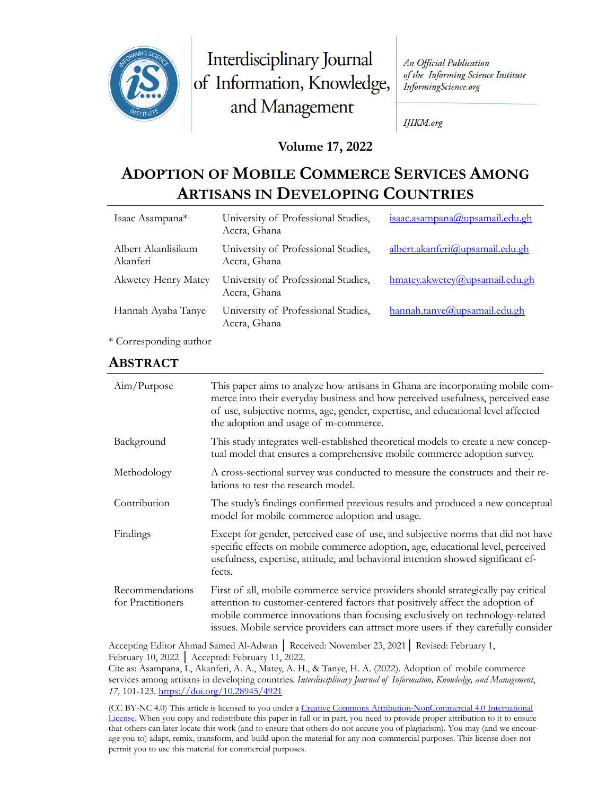

Interdisciplinary Journal of Information, Knowledge, and Management

An Official Publication of the Informing Science Institute InformingScience.org

IJIKM.org

### **Volume 17, 2022**

# **ADOPTION OF MOBILE COMMERCE SERVICES AMONG ARTISANS IN DEVELOPING COUNTRIES**

| Isaac Asampana*                | University of Professional Studies,<br>Accra, Ghana | isaac.asampana@upsamail.edu.gh  |
|--------------------------------|-----------------------------------------------------|---------------------------------|
| Albert Akanlisikum<br>Akanferi | University of Professional Studies,<br>Accra, Ghana | albert.akanferi@upsamail.edu.gh |
| <b>Akwetey Henry Matey</b>     | University of Professional Studies,<br>Accra, Ghana | hmatey.akwetey@upsamail.edu.gh  |
| Hannah Ayaba Tanye             | University of Professional Studies,<br>Accra, Ghana | hannah.tanye@upsamail.edu.gh    |

\* Corresponding author

## **ABSTRACT**

| Aim/Purpose                          | This paper aims to analyze how artisans in Ghana are incorporating mobile com-<br>merce into their everyday business and how perceived usefulness, perceived ease<br>of use, subjective norms, age, gender, expertise, and educational level affected<br>the adoption and usage of m-commerce.                                          |
|--------------------------------------|-----------------------------------------------------------------------------------------------------------------------------------------------------------------------------------------------------------------------------------------------------------------------------------------------------------------------------------------|
| Background                           | This study integrates well-established theoretical models to create a new concep-<br>tual model that ensures a comprehensive mobile commerce adoption survey.                                                                                                                                                                           |
| Methodology                          | A cross-sectional survey was conducted to measure the constructs and their re-<br>lations to test the research model.                                                                                                                                                                                                                   |
| Contribution                         | The study's findings confirmed previous results and produced a new conceptual<br>model for mobile commerce adoption and usage.                                                                                                                                                                                                          |
| Findings                             | Except for gender, perceived ease of use, and subjective norms that did not have<br>specific effects on mobile commerce adoption, age, educational level, perceived<br>usefulness, expertise, attitude, and behavioral intention showed significant ef-<br>fects.                                                                       |
| Recommendations<br>for Practitioners | First of all, mobile commerce service providers should strategically pay critical<br>attention to customer-centered factors that positively affect the adoption of<br>mobile commerce innovations than focusing exclusively on technology-related<br>issues. Mobile service providers can attract more users if they carefully consider |

Accepting Editor Ahmad Samed Al-Adwan │ Received: November 23, 2021│ Revised: February 1, February 10, 2022 │ Accepted: February 11, 2022.

Cite as: Asampana, I., Akanferi, A. A., Matey, A. H., & Tanye, H. A. (2022). Adoption of mobile commerce services among artisans in developing countries. *Interdisciplinary Journal of Information, Knowledge, and Management*, *17,* 101-123.<https://doi.org/10.28945/4921>

(CC BY-NC 4.0) This article is licensed to you under a Creative Commons Attribution-[NonCommercial 4.0 International](https://creativecommons.org/licenses/by-nc/4.0/)  [License.](https://creativecommons.org/licenses/by-nc/4.0/) When you copy and redistribute this paper in full or in part, you need to provide proper attribution to it to ensure that others can later locate this work (and to ensure that others do not accuse you of plagiarism). You may (and we encourage you to) adapt, remix, transform, and build upon the material for any non-commercial purposes. This license does not permit you to use this material for commercial purposes.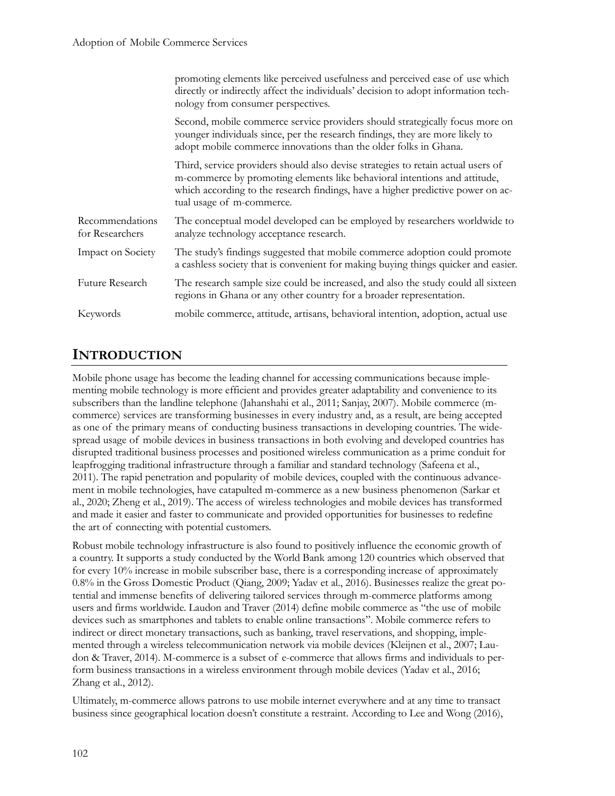|                                    | promoting elements like perceived usefulness and perceived ease of use which<br>directly or indirectly affect the individuals' decision to adopt information tech-<br>nology from consumer perspectives.                                                                      |
|------------------------------------|-------------------------------------------------------------------------------------------------------------------------------------------------------------------------------------------------------------------------------------------------------------------------------|
|                                    | Second, mobile commerce service providers should strategically focus more on<br>younger individuals since, per the research findings, they are more likely to<br>adopt mobile commerce innovations than the older folks in Ghana.                                             |
|                                    | Third, service providers should also devise strategies to retain actual users of<br>m-commerce by promoting elements like behavioral intentions and attitude,<br>which according to the research findings, have a higher predictive power on ac-<br>tual usage of m-commerce. |
| Recommendations<br>for Researchers | The conceptual model developed can be employed by researchers worldwide to<br>analyze technology acceptance research.                                                                                                                                                         |
| Impact on Society                  | The study's findings suggested that mobile commerce adoption could promote<br>a cashless society that is convenient for making buying things quicker and easier.                                                                                                              |
| Future Research                    | The research sample size could be increased, and also the study could all sixteen<br>regions in Ghana or any other country for a broader representation.                                                                                                                      |
| Keywords                           | mobile commerce, attitude, artisans, behavioral intention, adoption, actual use                                                                                                                                                                                               |

# **INTRODUCTION**

Mobile phone usage has become the leading channel for accessing communications because implementing mobile technology is more efficient and provides greater adaptability and convenience to its subscribers than the landline telephone (Jahanshahi et al., 2011; Sanjay, 2007). Mobile commerce (mcommerce) services are transforming businesses in every industry and, as a result, are being accepted as one of the primary means of conducting business transactions in developing countries. The widespread usage of mobile devices in business transactions in both evolving and developed countries has disrupted traditional business processes and positioned wireless communication as a prime conduit for leapfrogging traditional infrastructure through a familiar and standard technology (Safeena et al., 2011). The rapid penetration and popularity of mobile devices, coupled with the continuous advancement in mobile technologies, have catapulted m-commerce as a new business phenomenon (Sarkar et al., 2020; Zheng et al., 2019). The access of wireless technologies and mobile devices has transformed and made it easier and faster to communicate and provided opportunities for businesses to redefine the art of connecting with potential customers.

Robust mobile technology infrastructure is also found to positively influence the economic growth of a country. It supports a study conducted by the World Bank among 120 countries which observed that for every 10% increase in mobile subscriber base, there is a corresponding increase of approximately 0.8% in the Gross Domestic Product (Qiang, 2009; Yadav et al., 2016). Businesses realize the great potential and immense benefits of delivering tailored services through m-commerce platforms among users and firms worldwide. Laudon and Traver (2014) define mobile commerce as "the use of mobile devices such as smartphones and tablets to enable online transactions". Mobile commerce refers to indirect or direct monetary transactions, such as banking, travel reservations, and shopping, implemented through a wireless telecommunication network via mobile devices (Kleijnen et al., 2007; Laudon & Traver, 2014). M-commerce is a subset of e-commerce that allows firms and individuals to perform business transactions in a wireless environment through mobile devices (Yadav et al., 2016; Zhang et al., 2012).

Ultimately, m-commerce allows patrons to use mobile internet everywhere and at any time to transact business since geographical location doesn't constitute a restraint. According to Lee and Wong (2016),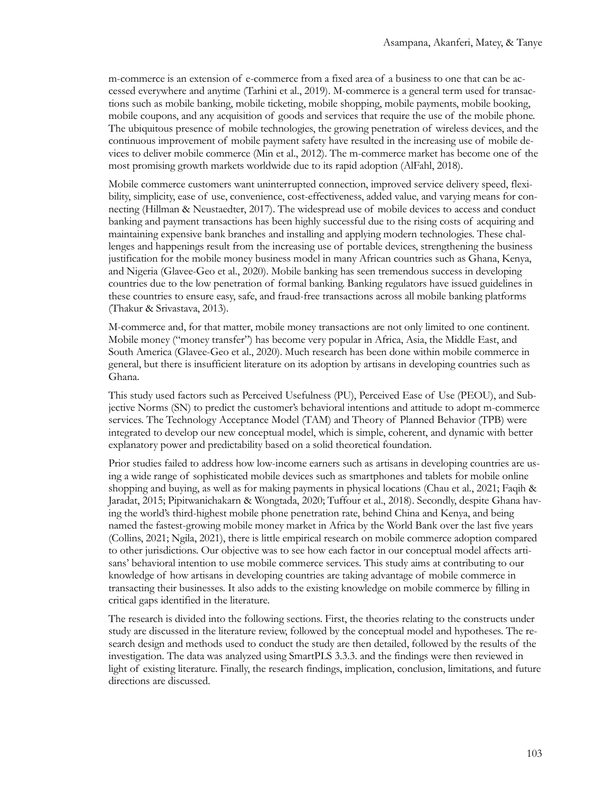m-commerce is an extension of e-commerce from a fixed area of a business to one that can be accessed everywhere and anytime (Tarhini et al., 2019). M-commerce is a general term used for transactions such as mobile banking, mobile ticketing, mobile shopping, mobile payments, mobile booking, mobile coupons, and any acquisition of goods and services that require the use of the mobile phone. The ubiquitous presence of mobile technologies, the growing penetration of wireless devices, and the continuous improvement of mobile payment safety have resulted in the increasing use of mobile devices to deliver mobile commerce (Min et al., 2012). The m-commerce market has become one of the most promising growth markets worldwide due to its rapid adoption (AlFahl, 2018).

Mobile commerce customers want uninterrupted connection, improved service delivery speed, flexibility, simplicity, ease of use, convenience, cost-effectiveness, added value, and varying means for connecting (Hillman & Neustaedter, 2017). The widespread use of mobile devices to access and conduct banking and payment transactions has been highly successful due to the rising costs of acquiring and maintaining expensive bank branches and installing and applying modern technologies. These challenges and happenings result from the increasing use of portable devices, strengthening the business justification for the mobile money business model in many African countries such as Ghana, Kenya, and Nigeria (Glavee-Geo et al., 2020). Mobile banking has seen tremendous success in developing countries due to the low penetration of formal banking. Banking regulators have issued guidelines in these countries to ensure easy, safe, and fraud-free transactions across all mobile banking platforms (Thakur & Srivastava, 2013).

M-commerce and, for that matter, mobile money transactions are not only limited to one continent. Mobile money ("money transfer") has become very popular in Africa, Asia, the Middle East, and South America (Glavee-Geo et al., 2020). Much research has been done within mobile commerce in general, but there is insufficient literature on its adoption by artisans in developing countries such as Ghana.

This study used factors such as Perceived Usefulness (PU), Perceived Ease of Use (PEOU), and Subjective Norms (SN) to predict the customer's behavioral intentions and attitude to adopt m-commerce services. The Technology Acceptance Model (TAM) and Theory of Planned Behavior (TPB) were integrated to develop our new conceptual model, which is simple, coherent, and dynamic with better explanatory power and predictability based on a solid theoretical foundation.

Prior studies failed to address how low-income earners such as artisans in developing countries are using a wide range of sophisticated mobile devices such as smartphones and tablets for mobile online shopping and buying, as well as for making payments in physical locations (Chau et al., 2021; Faqih & Jaradat, 2015; Pipitwanichakarn & Wongtada, 2020; Tuffour et al., 2018). Secondly, despite Ghana having the world's third-highest mobile phone penetration rate, behind China and Kenya, and being named the fastest-growing mobile money market in Africa by the World Bank over the last five years (Collins, 2021; Ngila, 2021), there is little empirical research on mobile commerce adoption compared to other jurisdictions. Our objective was to see how each factor in our conceptual model affects artisans' behavioral intention to use mobile commerce services. This study aims at contributing to our knowledge of how artisans in developing countries are taking advantage of mobile commerce in transacting their businesses. It also adds to the existing knowledge on mobile commerce by filling in critical gaps identified in the literature.

The research is divided into the following sections. First, the theories relating to the constructs under study are discussed in the literature review, followed by the conceptual model and hypotheses. The research design and methods used to conduct the study are then detailed, followed by the results of the investigation. The data was analyzed using SmartPLS 3.3.3. and the findings were then reviewed in light of existing literature. Finally, the research findings, implication, conclusion, limitations, and future directions are discussed.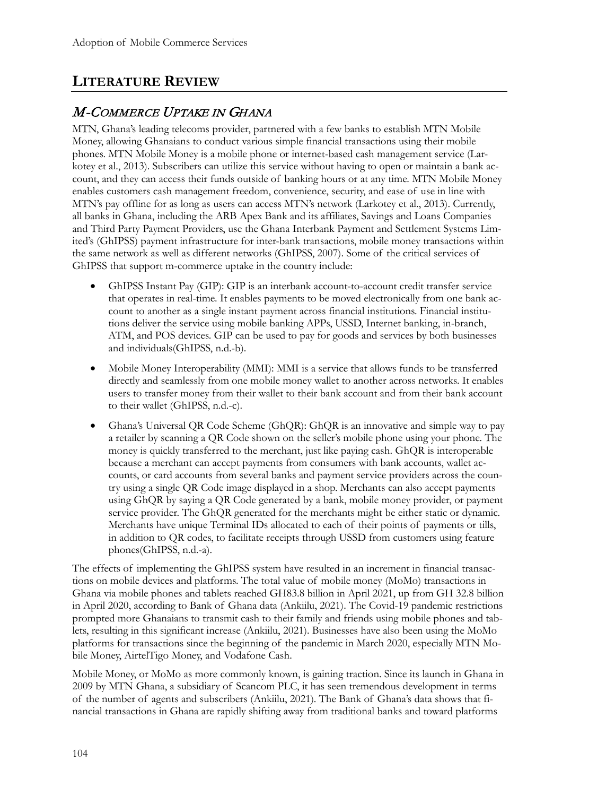# **LITERATURE REVIEW**

# M-COMMERCE UPTAKE IN GHANA

MTN, Ghana's leading telecoms provider, partnered with a few banks to establish MTN Mobile Money, allowing Ghanaians to conduct various simple financial transactions using their mobile phones. MTN Mobile Money is a mobile phone or internet-based cash management service (Larkotey et al., 2013). Subscribers can utilize this service without having to open or maintain a bank account, and they can access their funds outside of banking hours or at any time. MTN Mobile Money enables customers cash management freedom, convenience, security, and ease of use in line with MTN's pay offline for as long as users can access MTN's network (Larkotey et al., 2013). Currently, all banks in Ghana, including the ARB Apex Bank and its affiliates, Savings and Loans Companies and Third Party Payment Providers, use the Ghana Interbank Payment and Settlement Systems Limited's (GhIPSS) payment infrastructure for inter-bank transactions, mobile money transactions within the same network as well as different networks (GhIPSS, 2007). Some of the critical services of GhIPSS that support m-commerce uptake in the country include:

- GhIPSS Instant Pay (GIP): GIP is an interbank account-to-account credit transfer service that operates in real-time. It enables payments to be moved electronically from one bank account to another as a single instant payment across financial institutions. Financial institutions deliver the service using mobile banking APPs, USSD, Internet banking, in-branch, ATM, and POS devices. GIP can be used to pay for goods and services by both businesses and individuals(GhIPSS, n.d.-b).
- Mobile Money Interoperability (MMI): MMI is a service that allows funds to be transferred directly and seamlessly from one mobile money wallet to another across networks. It enables users to transfer money from their wallet to their bank account and from their bank account to their wallet (GhIPSS, n.d.-c).
- Ghana's Universal QR Code Scheme (GhQR): GhQR is an innovative and simple way to pay a retailer by scanning a QR Code shown on the seller's mobile phone using your phone. The money is quickly transferred to the merchant, just like paying cash. GhQR is interoperable because a merchant can accept payments from consumers with bank accounts, wallet accounts, or card accounts from several banks and payment service providers across the country using a single QR Code image displayed in a shop. Merchants can also accept payments using GhQR by saying a QR Code generated by a bank, mobile money provider, or payment service provider. The GhQR generated for the merchants might be either static or dynamic. Merchants have unique Terminal IDs allocated to each of their points of payments or tills, in addition to QR codes, to facilitate receipts through USSD from customers using feature phones(GhIPSS, n.d.-a).

The effects of implementing the GhIPSS system have resulted in an increment in financial transactions on mobile devices and platforms. The total value of mobile money (MoMo) transactions in Ghana via mobile phones and tablets reached GH83.8 billion in April 2021, up from GH 32.8 billion in April 2020, according to Bank of Ghana data (Ankiilu, 2021). The Covid-19 pandemic restrictions prompted more Ghanaians to transmit cash to their family and friends using mobile phones and tablets, resulting in this significant increase (Ankiilu, 2021). Businesses have also been using the MoMo platforms for transactions since the beginning of the pandemic in March 2020, especially MTN Mobile Money, AirtelTigo Money, and Vodafone Cash.

Mobile Money, or MoMo as more commonly known, is gaining traction. Since its launch in Ghana in 2009 by MTN Ghana, a subsidiary of Scancom PLC, it has seen tremendous development in terms of the number of agents and subscribers (Ankiilu, 2021). The Bank of Ghana's data shows that financial transactions in Ghana are rapidly shifting away from traditional banks and toward platforms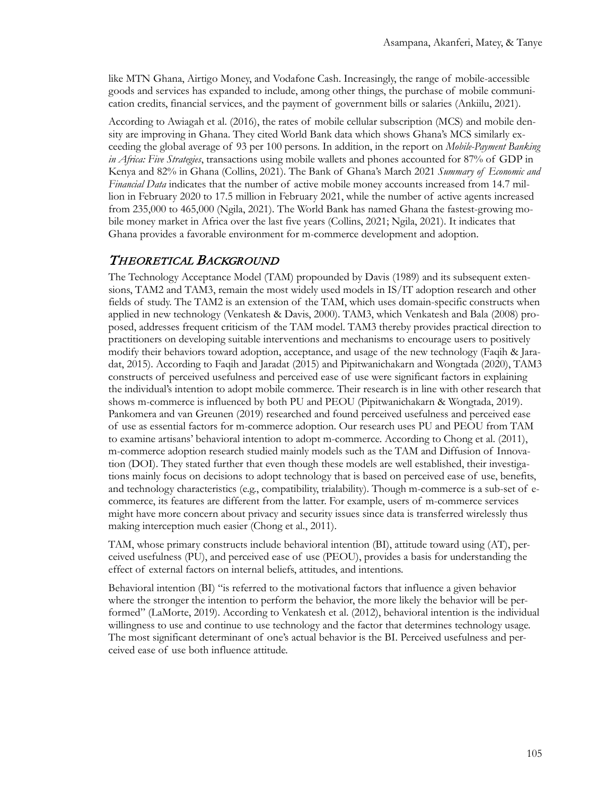like MTN Ghana, Airtigo Money, and Vodafone Cash. Increasingly, the range of mobile-accessible goods and services has expanded to include, among other things, the purchase of mobile communication credits, financial services, and the payment of government bills or salaries (Ankiilu, 2021).

According to Awiagah et al. (2016), the rates of mobile cellular subscription (MCS) and mobile density are improving in Ghana. They cited World Bank data which shows Ghana's MCS similarly exceeding the global average of 93 per 100 persons. In addition, in the report on *Mobile-Payment Banking in Africa: Five Strategies*, transactions using mobile wallets and phones accounted for 87% of GDP in Kenya and 82% in Ghana (Collins, 2021). The Bank of Ghana's March 2021 *Summary of Economic and Financial Data* indicates that the number of active mobile money accounts increased from 14.7 million in February 2020 to 17.5 million in February 2021, while the number of active agents increased from 235,000 to 465,000 (Ngila, 2021). The World Bank has named Ghana the fastest-growing mobile money market in Africa over the last five years (Collins, 2021; Ngila, 2021). It indicates that Ghana provides a favorable environment for m-commerce development and adoption.

### THEORETICAL BACKGROUND

The Technology Acceptance Model (TAM) propounded by Davis (1989) and its subsequent extensions, TAM2 and TAM3, remain the most widely used models in IS/IT adoption research and other fields of study. The TAM2 is an extension of the TAM, which uses domain-specific constructs when applied in new technology (Venkatesh & Davis, 2000). TAM3, which Venkatesh and Bala (2008) proposed, addresses frequent criticism of the TAM model. TAM3 thereby provides practical direction to practitioners on developing suitable interventions and mechanisms to encourage users to positively modify their behaviors toward adoption, acceptance, and usage of the new technology (Faqih & Jaradat, 2015). According to Faqih and Jaradat (2015) and Pipitwanichakarn and Wongtada (2020), TAM3 constructs of perceived usefulness and perceived ease of use were significant factors in explaining the individual's intention to adopt mobile commerce. Their research is in line with other research that shows m-commerce is influenced by both PU and PEOU (Pipitwanichakarn & Wongtada, 2019). Pankomera and van Greunen (2019) researched and found perceived usefulness and perceived ease of use as essential factors for m-commerce adoption. Our research uses PU and PEOU from TAM to examine artisans' behavioral intention to adopt m-commerce. According to Chong et al. (2011), m-commerce adoption research studied mainly models such as the TAM and Diffusion of Innovation (DOI). They stated further that even though these models are well established, their investigations mainly focus on decisions to adopt technology that is based on perceived ease of use, benefits, and technology characteristics (e.g., compatibility, trialability). Though m-commerce is a sub-set of ecommerce, its features are different from the latter. For example, users of m-commerce services might have more concern about privacy and security issues since data is transferred wirelessly thus making interception much easier (Chong et al., 2011).

TAM, whose primary constructs include behavioral intention (BI), attitude toward using (AT), perceived usefulness (PU), and perceived ease of use (PEOU), provides a basis for understanding the effect of external factors on internal beliefs, attitudes, and intentions.

Behavioral intention (BI) "is referred to the motivational factors that influence a given behavior where the stronger the intention to perform the behavior, the more likely the behavior will be performed" (LaMorte, 2019). According to Venkatesh et al. (2012), behavioral intention is the individual willingness to use and continue to use technology and the factor that determines technology usage. The most significant determinant of one's actual behavior is the BI. Perceived usefulness and perceived ease of use both influence attitude.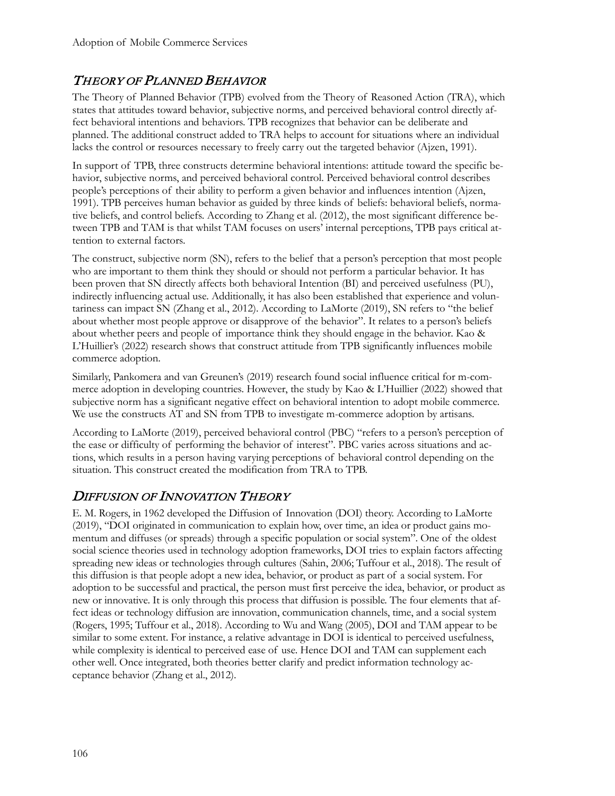# THEORY OF PLANNED BEHAVIOR

The Theory of Planned Behavior (TPB) evolved from the Theory of Reasoned Action (TRA), which states that attitudes toward behavior, subjective norms, and perceived behavioral control directly affect behavioral intentions and behaviors. TPB recognizes that behavior can be deliberate and planned. The additional construct added to TRA helps to account for situations where an individual lacks the control or resources necessary to freely carry out the targeted behavior (Ajzen, 1991).

In support of TPB, three constructs determine behavioral intentions: attitude toward the specific behavior, subjective norms, and perceived behavioral control. Perceived behavioral control describes people's perceptions of their ability to perform a given behavior and influences intention (Ajzen, 1991). TPB perceives human behavior as guided by three kinds of beliefs: behavioral beliefs, normative beliefs, and control beliefs. According to Zhang et al. (2012), the most significant difference between TPB and TAM is that whilst TAM focuses on users' internal perceptions, TPB pays critical attention to external factors.

The construct, subjective norm (SN), refers to the belief that a person's perception that most people who are important to them think they should or should not perform a particular behavior. It has been proven that SN directly affects both behavioral Intention (BI) and perceived usefulness (PU), indirectly influencing actual use. Additionally, it has also been established that experience and voluntariness can impact SN (Zhang et al., 2012). According to LaMorte (2019), SN refers to "the belief about whether most people approve or disapprove of the behavior". It relates to a person's beliefs about whether peers and people of importance think they should engage in the behavior. Kao & L'Huillier's (2022) research shows that construct attitude from TPB significantly influences mobile commerce adoption.

Similarly, Pankomera and van Greunen's (2019) research found social influence critical for m-commerce adoption in developing countries. However, the study by Kao & L'Huillier (2022) showed that subjective norm has a significant negative effect on behavioral intention to adopt mobile commerce. We use the constructs AT and SN from TPB to investigate m-commerce adoption by artisans.

According to LaMorte (2019), perceived behavioral control (PBC) "refers to a person's perception of the ease or difficulty of performing the behavior of interest". PBC varies across situations and actions, which results in a person having varying perceptions of behavioral control depending on the situation. This construct created the modification from TRA to TPB.

# DIFFUSION OF INNOVATION THEORY

E. M. Rogers, in 1962 developed the Diffusion of Innovation (DOI) theory. According to LaMorte (2019), "DOI originated in communication to explain how, over time, an idea or product gains momentum and diffuses (or spreads) through a specific population or social system". One of the oldest social science theories used in technology adoption frameworks, DOI tries to explain factors affecting spreading new ideas or technologies through cultures (Sahin, 2006; Tuffour et al., 2018). The result of this diffusion is that people adopt a new idea, behavior, or product as part of a social system. For adoption to be successful and practical, the person must first perceive the idea, behavior, or product as new or innovative. It is only through this process that diffusion is possible. The four elements that affect ideas or technology diffusion are innovation, communication channels, time, and a social system (Rogers, 1995; Tuffour et al., 2018). According to Wu and Wang (2005), DOI and TAM appear to be similar to some extent. For instance, a relative advantage in DOI is identical to perceived usefulness, while complexity is identical to perceived ease of use. Hence DOI and TAM can supplement each other well. Once integrated, both theories better clarify and predict information technology acceptance behavior (Zhang et al., 2012).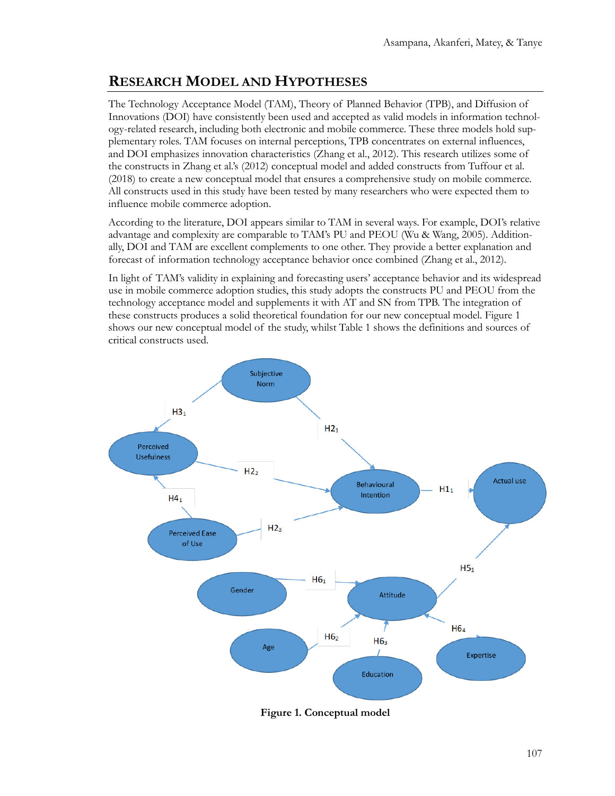# **RESEARCH MODEL AND HYPOTHESES**

The Technology Acceptance Model (TAM), Theory of Planned Behavior (TPB), and Diffusion of Innovations (DOI) have consistently been used and accepted as valid models in information technology-related research, including both electronic and mobile commerce. These three models hold supplementary roles. TAM focuses on internal perceptions, TPB concentrates on external influences, and DOI emphasizes innovation characteristics (Zhang et al., 2012). This research utilizes some of the constructs in Zhang et al.'s (2012) conceptual model and added constructs from Tuffour et al. (2018) to create a new conceptual model that ensures a comprehensive study on mobile commerce. All constructs used in this study have been tested by many researchers who were expected them to influence mobile commerce adoption.

According to the literature, DOI appears similar to TAM in several ways. For example, DOI's relative advantage and complexity are comparable to TAM's PU and PEOU (Wu & Wang, 2005). Additionally, DOI and TAM are excellent complements to one other. They provide a better explanation and forecast of information technology acceptance behavior once combined (Zhang et al., 2012).

In light of TAM's validity in explaining and forecasting users' acceptance behavior and its widespread use in mobile commerce adoption studies, this study adopts the constructs PU and PEOU from the technology acceptance model and supplements it with AT and SN from TPB. The integration of these constructs produces a solid theoretical foundation for our new conceptual model. Figure 1 shows our new conceptual model of the study, whilst Table 1 shows the definitions and sources of critical constructs used.



**Figure 1. Conceptual model**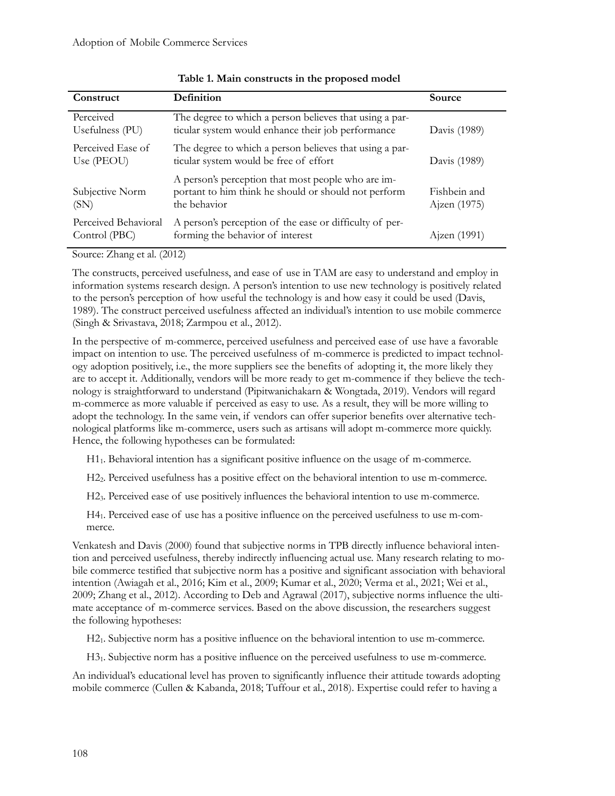| Construct                             | Definition                                                                                                                 | Source                       |
|---------------------------------------|----------------------------------------------------------------------------------------------------------------------------|------------------------------|
| Perceived<br>Usefulness (PU)          | The degree to which a person believes that using a par-<br>ticular system would enhance their job performance              | Davis (1989)                 |
| Perceived Ease of<br>Use (PEOU)       | The degree to which a person believes that using a par-<br>ticular system would be free of effort                          | Davis (1989)                 |
| Subjective Norm<br>(SN)               | A person's perception that most people who are im-<br>portant to him think he should or should not perform<br>the behavior | Fishbein and<br>Ajzen (1975) |
| Perceived Behavioral<br>Control (PBC) | A person's perception of the ease or difficulty of per-<br>forming the behavior of interest                                | Ajzen (1991)                 |

#### **Table 1. Main constructs in the proposed model**

Source: Zhang et al. (2012)

The constructs, perceived usefulness, and ease of use in TAM are easy to understand and employ in information systems research design. A person's intention to use new technology is positively related to the person's perception of how useful the technology is and how easy it could be used (Davis, 1989). The construct perceived usefulness affected an individual's intention to use mobile commerce (Singh & Srivastava, 2018; Zarmpou et al., 2012).

In the perspective of m-commerce, perceived usefulness and perceived ease of use have a favorable impact on intention to use. The perceived usefulness of m-commerce is predicted to impact technology adoption positively, i.e., the more suppliers see the benefits of adopting it, the more likely they are to accept it. Additionally, vendors will be more ready to get m-commence if they believe the technology is straightforward to understand (Pipitwanichakarn & Wongtada, 2019). Vendors will regard m-commerce as more valuable if perceived as easy to use. As a result, they will be more willing to adopt the technology. In the same vein, if vendors can offer superior benefits over alternative technological platforms like m-commerce, users such as artisans will adopt m-commerce more quickly. Hence, the following hypotheses can be formulated:

H11. Behavioral intention has a significant positive influence on the usage of m-commerce.

H22. Perceived usefulness has a positive effect on the behavioral intention to use m-commerce.

H23. Perceived ease of use positively influences the behavioral intention to use m-commerce.

H41. Perceived ease of use has a positive influence on the perceived usefulness to use m-commerce.

Venkatesh and Davis (2000) found that subjective norms in TPB directly influence behavioral intention and perceived usefulness, thereby indirectly influencing actual use. Many research relating to mobile commerce testified that subjective norm has a positive and significant association with behavioral intention (Awiagah et al., 2016; Kim et al., 2009; Kumar et al., 2020; Verma et al., 2021; Wei et al., 2009; Zhang et al., 2012). According to Deb and Agrawal (2017), subjective norms influence the ultimate acceptance of m-commerce services. Based on the above discussion, the researchers suggest the following hypotheses:

H21. Subjective norm has a positive influence on the behavioral intention to use m-commerce.

H31. Subjective norm has a positive influence on the perceived usefulness to use m-commerce.

An individual's educational level has proven to significantly influence their attitude towards adopting mobile commerce (Cullen & Kabanda, 2018; Tuffour et al., 2018). Expertise could refer to having a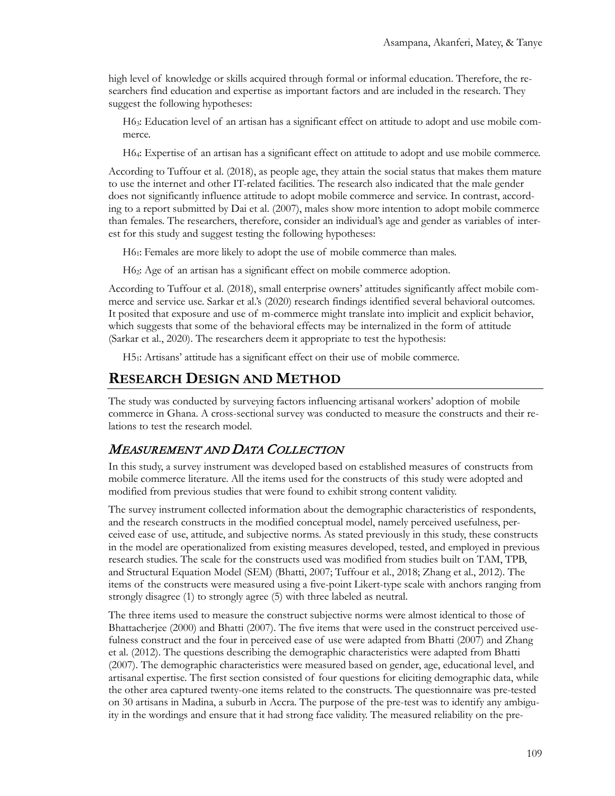high level of knowledge or skills acquired through formal or informal education. Therefore, the researchers find education and expertise as important factors and are included in the research. They suggest the following hypotheses:

H63: Education level of an artisan has a significant effect on attitude to adopt and use mobile commerce.

H64: Expertise of an artisan has a significant effect on attitude to adopt and use mobile commerce.

According to Tuffour et al. (2018), as people age, they attain the social status that makes them mature to use the internet and other IT-related facilities. The research also indicated that the male gender does not significantly influence attitude to adopt mobile commerce and service. In contrast, according to a report submitted by Dai et al. (2007), males show more intention to adopt mobile commerce than females. The researchers, therefore, consider an individual's age and gender as variables of interest for this study and suggest testing the following hypotheses:

H61: Females are more likely to adopt the use of mobile commerce than males.

H62: Age of an artisan has a significant effect on mobile commerce adoption.

According to Tuffour et al. (2018), small enterprise owners' attitudes significantly affect mobile commerce and service use. Sarkar et al.'s (2020) research findings identified several behavioral outcomes. It posited that exposure and use of m-commerce might translate into implicit and explicit behavior, which suggests that some of the behavioral effects may be internalized in the form of attitude (Sarkar et al., 2020). The researchers deem it appropriate to test the hypothesis:

H51: Artisans' attitude has a significant effect on their use of mobile commerce.

### **RESEARCH DESIGN AND METHOD**

The study was conducted by surveying factors influencing artisanal workers' adoption of mobile commerce in Ghana. A cross-sectional survey was conducted to measure the constructs and their relations to test the research model.

#### MEASUREMENT AND DATA COLLECTION

In this study, a survey instrument was developed based on established measures of constructs from mobile commerce literature. All the items used for the constructs of this study were adopted and modified from previous studies that were found to exhibit strong content validity.

The survey instrument collected information about the demographic characteristics of respondents, and the research constructs in the modified conceptual model, namely perceived usefulness, perceived ease of use, attitude, and subjective norms. As stated previously in this study, these constructs in the model are operationalized from existing measures developed, tested, and employed in previous research studies. The scale for the constructs used was modified from studies built on TAM, TPB, and Structural Equation Model (SEM) (Bhatti, 2007; Tuffour et al., 2018; Zhang et al., 2012). The items of the constructs were measured using a five-point Likert-type scale with anchors ranging from strongly disagree (1) to strongly agree (5) with three labeled as neutral.

The three items used to measure the construct subjective norms were almost identical to those of Bhattacherjee (2000) and Bhatti (2007). The five items that were used in the construct perceived usefulness construct and the four in perceived ease of use were adapted from Bhatti (2007) and Zhang et al. (2012). The questions describing the demographic characteristics were adapted from Bhatti (2007). The demographic characteristics were measured based on gender, age, educational level, and artisanal expertise. The first section consisted of four questions for eliciting demographic data, while the other area captured twenty-one items related to the constructs. The questionnaire was pre-tested on 30 artisans in Madina, a suburb in Accra. The purpose of the pre-test was to identify any ambiguity in the wordings and ensure that it had strong face validity. The measured reliability on the pre-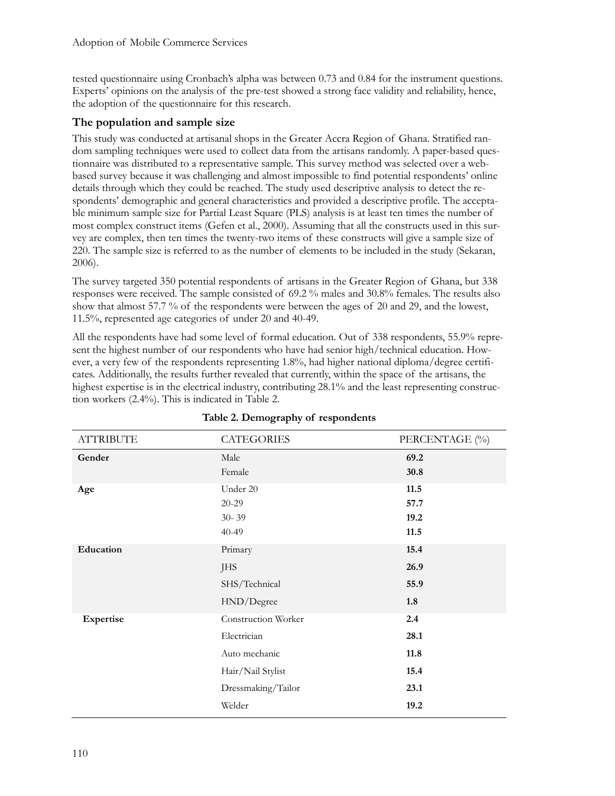tested questionnaire using Cronbach's alpha was between 0.73 and 0.84 for the instrument questions. Experts' opinions on the analysis of the pre-test showed a strong face validity and reliability, hence, the adoption of the questionnaire for this research.

#### **The population and sample size**

This study was conducted at artisanal shops in the Greater Accra Region of Ghana. Stratified random sampling techniques were used to collect data from the artisans randomly. A paper-based questionnaire was distributed to a representative sample. This survey method was selected over a webbased survey because it was challenging and almost impossible to find potential respondents' online details through which they could be reached. The study used descriptive analysis to detect the respondents' demographic and general characteristics and provided a descriptive profile. The acceptable minimum sample size for Partial Least Square (PLS) analysis is at least ten times the number of most complex construct items (Gefen et al., 2000). Assuming that all the constructs used in this survey are complex, then ten times the twenty-two items of these constructs will give a sample size of 220. The sample size is referred to as the number of elements to be included in the study (Sekaran, 2006).

The survey targeted 350 potential respondents of artisans in the Greater Region of Ghana, but 338 responses were received. The sample consisted of 69.2 % males and 30.8% females. The results also show that almost 57.7 % of the respondents were between the ages of 20 and 29, and the lowest, 11.5%, represented age categories of under 20 and 40-49.

All the respondents have had some level of formal education. Out of 338 respondents, 55.9% represent the highest number of our respondents who have had senior high/technical education. However, a very few of the respondents representing 1.8%, had higher national diploma/degree certificates. Additionally, the results further revealed that currently, within the space of the artisans, the highest expertise is in the electrical industry, contributing 28.1% and the least representing construction workers (2.4%). This is indicated in Table 2.

| <b>ATTRIBUTE</b> | <b>CATEGORIES</b>   | PERCENTAGE (%) |
|------------------|---------------------|----------------|
| Gender           | Male                | 69.2           |
|                  | Female              | 30.8           |
| Age              | Under 20            | 11.5           |
|                  | $20 - 29$           | 57.7           |
|                  | $30 - 39$           | 19.2           |
|                  | $40 - 49$           | 11.5           |
| Education        | Primary             | 15.4           |
|                  | <b>JHS</b>          | 26.9           |
|                  | SHS/Technical       | 55.9           |
|                  | HND/Degree          | 1.8            |
| Expertise        | Construction Worker | 2.4            |
|                  | Electrician         | 28.1           |
|                  | Auto mechanic       | 11.8           |
|                  | Hair/Nail Stylist   | 15.4           |
|                  | Dressmaking/Tailor  | 23.1           |
|                  | Welder              | 19.2           |

#### **Table 2. Demography of respondents**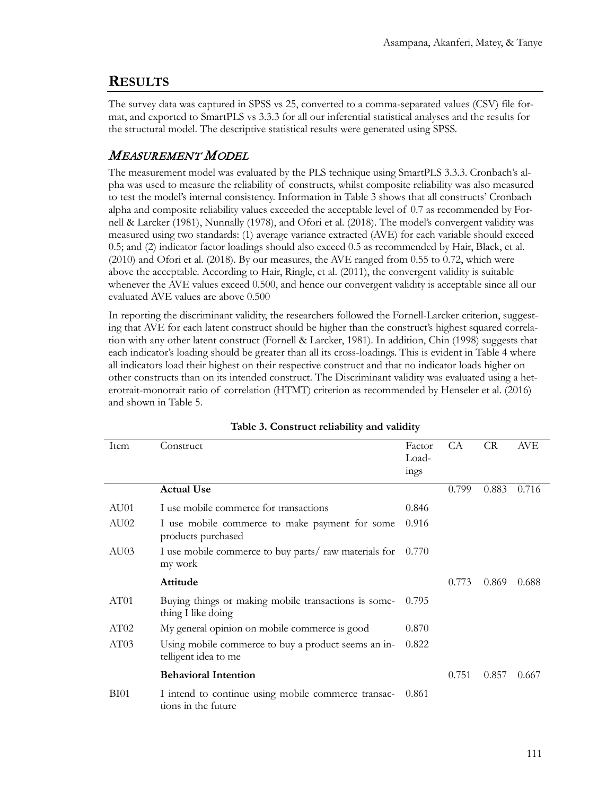### **RESULTS**

The survey data was captured in SPSS vs 25, converted to a comma-separated values (CSV) file format, and exported to SmartPLS vs 3.3.3 for all our inferential statistical analyses and the results for the structural model. The descriptive statistical results were generated using SPSS.

### MEASUREMENT MODEL

The measurement model was evaluated by the PLS technique using SmartPLS 3.3.3. Cronbach's alpha was used to measure the reliability of constructs, whilst composite reliability was also measured to test the model's internal consistency. Information in Table 3 shows that all constructs' Cronbach alpha and composite reliability values exceeded the acceptable level of 0.7 as recommended by Fornell & Larcker (1981), Nunnally (1978), and Ofori et al. (2018). The model's convergent validity was measured using two standards: (1) average variance extracted (AVE) for each variable should exceed 0.5; and (2) indicator factor loadings should also exceed 0.5 as recommended by Hair, Black, et al. (2010) and Ofori et al. (2018). By our measures, the AVE ranged from 0.55 to 0.72, which were above the acceptable. According to Hair, Ringle, et al. (2011), the convergent validity is suitable whenever the AVE values exceed 0.500, and hence our convergent validity is acceptable since all our evaluated AVE values are above 0.500

In reporting the discriminant validity, the researchers followed the Fornell-Larcker criterion, suggesting that AVE for each latent construct should be higher than the construct's highest squared correlation with any other latent construct (Fornell & Larcker, 1981). In addition, Chin (1998) suggests that each indicator's loading should be greater than all its cross-loadings. This is evident in Table 4 where all indicators load their highest on their respective construct and that no indicator loads higher on other constructs than on its intended construct. The Discriminant validity was evaluated using a heterotrait-monotrait ratio of correlation (HTMT) criterion as recommended by Henseler et al. (2016) and shown in Table 5.

| Item             | Construct                                                                   | Factor<br>Load-<br>ings | CA    | <b>CR</b> | AVE   |
|------------------|-----------------------------------------------------------------------------|-------------------------|-------|-----------|-------|
|                  | <b>Actual Use</b>                                                           |                         | 0.799 | 0.883     | 0.716 |
| AU01             | I use mobile commerce for transactions                                      | 0.846                   |       |           |       |
| AU02             | I use mobile commerce to make payment for some<br>products purchased        | 0.916                   |       |           |       |
| AU03             | I use mobile commerce to buy parts/ raw materials for<br>my work            | 0.770                   |       |           |       |
|                  | Attitude                                                                    |                         | 0.773 | 0.869     | 0.688 |
| AT <sub>01</sub> | Buying things or making mobile transactions is some-<br>thing I like doing  | 0.795                   |       |           |       |
| AT02             | My general opinion on mobile commerce is good                               | 0.870                   |       |           |       |
| AT03             | Using mobile commerce to buy a product seems an in-<br>telligent idea to me | 0.822                   |       |           |       |
|                  | <b>Behavioral Intention</b>                                                 |                         | 0.751 | 0.857     | 0.667 |
| <b>BI01</b>      | I intend to continue using mobile commerce transac-<br>tions in the future  | 0.861                   |       |           |       |

|  | Table 3. Construct reliability and validity |  |  |  |
|--|---------------------------------------------|--|--|--|
|--|---------------------------------------------|--|--|--|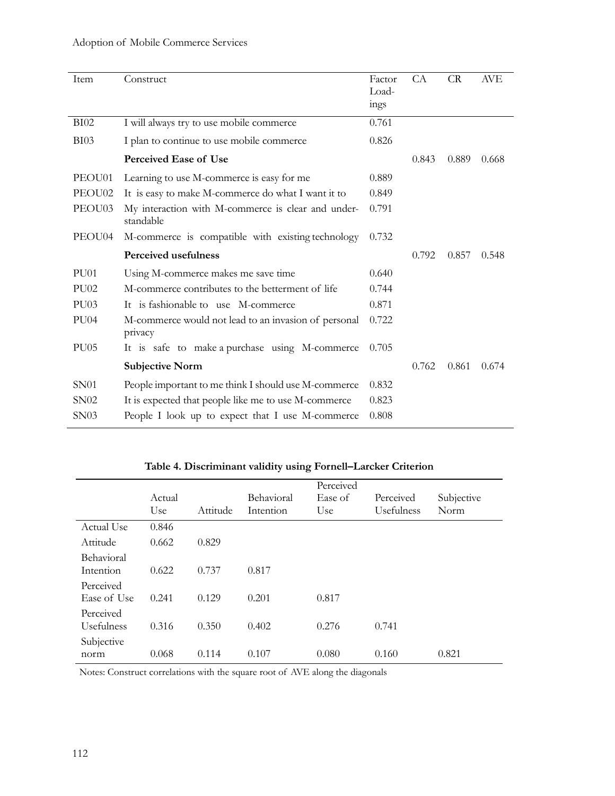### Adoption of Mobile Commerce Services

| Item             | Construct                                                       | Factor<br>Load-<br>ings | <b>CA</b> | <b>CR</b> | <b>AVE</b> |
|------------------|-----------------------------------------------------------------|-------------------------|-----------|-----------|------------|
| <b>BI02</b>      | I will always try to use mobile commerce                        | 0.761                   |           |           |            |
| <b>BI03</b>      | I plan to continue to use mobile commerce                       | 0.826                   |           |           |            |
|                  | <b>Perceived Ease of Use</b>                                    |                         | 0.843     | 0.889     | 0.668      |
| PEOU01           | Learning to use M-commerce is easy for me                       | 0.889                   |           |           |            |
| PEOU02           | It is easy to make M-commerce do what I want it to              | 0.849                   |           |           |            |
| PEOU03           | My interaction with M-commerce is clear and under-<br>standable | 0.791                   |           |           |            |
| PEOU04           | M-commerce is compatible with existing technology               | 0.732                   |           |           |            |
|                  | <b>Perceived usefulness</b>                                     |                         | 0.792     | 0.857     | 0.548      |
| PU <sub>01</sub> | Using M-commerce makes me save time                             | 0.640                   |           |           |            |
| <b>PU02</b>      | M-commerce contributes to the betterment of life                | 0.744                   |           |           |            |
| PU03             | It is fashionable to use M-commerce                             | 0.871                   |           |           |            |
| <b>PU04</b>      | M-commerce would not lead to an invasion of personal<br>privacy | 0.722                   |           |           |            |
| <b>PU05</b>      | It is safe to make a purchase using M-commerce                  | 0.705                   |           |           |            |
|                  | <b>Subjective Norm</b>                                          |                         | 0.762     | 0.861     | 0.674      |
| <b>SN01</b>      | People important to me think I should use M-commerce            | 0.832                   |           |           |            |
| SN02             | It is expected that people like me to use M-commerce            | 0.823                   |           |           |            |
| SN03             | People I look up to expect that I use M-commerce                | 0.808                   |           |           |            |

## **Table 4. Discriminant validity using Fornell–Larcker Criterion**

|                                | Actual<br>Use | Attitude | Behavioral<br>Intention | Perceived<br>Ease of<br>Use | Perceived<br>Usefulness | Subjective<br>Norm |
|--------------------------------|---------------|----------|-------------------------|-----------------------------|-------------------------|--------------------|
| Actual Use                     | 0.846         |          |                         |                             |                         |                    |
| Attitude                       | 0.662         | 0.829    |                         |                             |                         |                    |
| <b>Behavioral</b><br>Intention | 0.622         | 0.737    | 0.817                   |                             |                         |                    |
| Perceived<br>Ease of Use       | 0.241         | 0.129    | 0.201                   | 0.817                       |                         |                    |
| Perceived<br>Usefulness        | 0.316         | 0.350    | 0.402                   | 0.276                       | 0.741                   |                    |
| Subjective<br>norm             | 0.068         | 0.114    | 0.107                   | 0.080                       | 0.160                   | 0.821              |

Notes: Construct correlations with the square root of AVE along the diagonals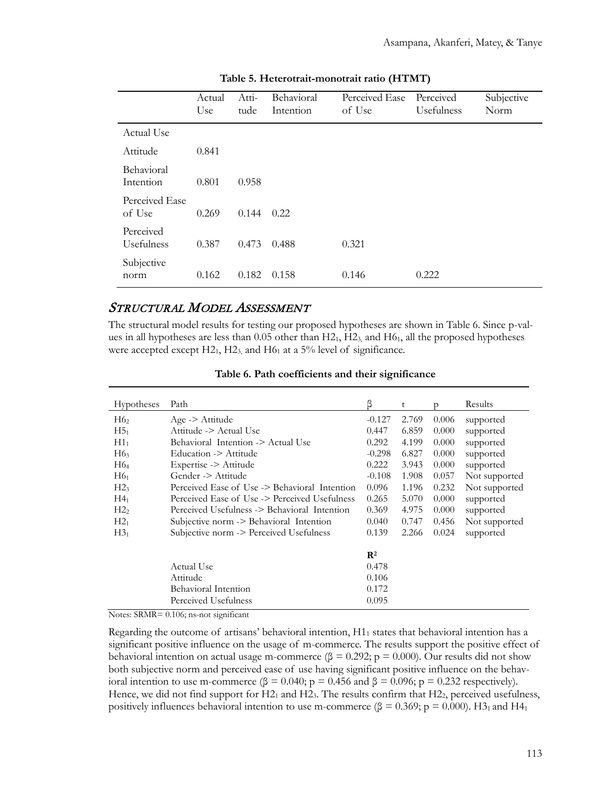|                          | Actual<br>Use | Atti-<br>tude | Behavioral<br>Intention | Perceived Ease<br>of Use | Perceived<br>Usefulness | Subjective<br>Norm |
|--------------------------|---------------|---------------|-------------------------|--------------------------|-------------------------|--------------------|
| Actual Use               |               |               |                         |                          |                         |                    |
| Attitude                 | 0.841         |               |                         |                          |                         |                    |
| Behavioral<br>Intention  | 0.801         | 0.958         |                         |                          |                         |                    |
| Perceived Ease<br>of Use | 0.269         | 0.144         | 0.22                    |                          |                         |                    |
| Perceived<br>Usefulness  | 0.387         | 0.473         | 0.488                   | 0.321                    |                         |                    |
| Subjective<br>norm       | 0.162         | 0.182         | 0.158                   | 0.146                    | 0.222                   |                    |

**Table 5. Heterotrait-monotrait ratio (HTMT)**

#### STRUCTURAL MODEL ASSESSMENT

The structural model results for testing our proposed hypotheses are shown in Table 6. Since p-values in all hypotheses are less than  $0.05$  other than  $H2_1$ ,  $H2_3$  and  $H6_1$ , all the proposed hypotheses were accepted except  $H2_1$ ,  $H2_3$ , and  $H6_1$  at a 5% level of significance.

| <b>Hypotheses</b> | Path                                          | β              | t     | D     | Results       |
|-------------------|-----------------------------------------------|----------------|-------|-------|---------------|
| H6 <sub>2</sub>   | $Age \geq$ Attitude                           | $-0.127$       | 2.769 | 0.006 | supported     |
| H5 <sub>1</sub>   | Attitude -> Actual Use                        | 0.447          | 6.859 | 0.000 | supported     |
| $H1_1$            | Behavioral Intention -> Actual Use            | 0.292          | 4.199 | 0.000 | supported     |
| H6 <sub>3</sub>   | Education -> Attitude                         | $-0.298$       | 6.827 | 0.000 | supported     |
| H6 <sub>4</sub>   | Expertise -> Attitude                         | 0.222          | 3.943 | 0.000 | supported     |
| H6 <sub>1</sub>   | Gender -> Attitude                            | $-0.108$       | 1.908 | 0.057 | Not supported |
| H2 <sub>3</sub>   | Perceived Ease of Use -> Behavioral Intention | 0.096          | 1.196 | 0.232 | Not supported |
| $H4_1$            | Perceived Ease of Use -> Perceived Usefulness | 0.265          | 5.070 | 0.000 | supported     |
| H2 <sub>2</sub>   | Perceived Usefulness -> Behavioral Intention  | 0.369          | 4.975 | 0.000 | supported     |
| $H2_1$            | Subjective norm -> Behavioral Intention       | 0.040          | 0.747 | 0.456 | Not supported |
| $H3_1$            | Subjective norm -> Perceived Usefulness       | 0.139          | 2.266 | 0.024 | supported     |
|                   |                                               | $\mathbf{R}^2$ |       |       |               |
|                   | Actual Use                                    | 0.478          |       |       |               |
|                   | Attitude                                      | 0.106          |       |       |               |
|                   | Behavioral Intention                          | 0.172          |       |       |               |
|                   | Perceived Usefulness                          | 0.095          |       |       |               |

**Table 6. Path coefficients and their significance**

Notes: SRMR= 0.106; ns-not significant

Regarding the outcome of artisans' behavioral intention,  $H1<sub>1</sub>$  states that behavioral intention has a significant positive influence on the usage of m-commerce. The results support the positive effect of behavioral intention on actual usage m-commerce (β = 0.292; p = 0.000). Our results did not show both subjective norm and perceived ease of use having significant positive influence on the behavioral intention to use m-commerce (β = 0.040; p = 0.456 and β = 0.096; p = 0.232 respectively). Hence, we did not find support for H2<sub>1</sub> and H2<sub>3</sub>. The results confirm that H2<sub>2</sub>, perceived usefulness, positively influences behavioral intention to use m-commerce (β = 0.369; p = 0.000). H3<sub>1</sub> and H4<sub>1</sub>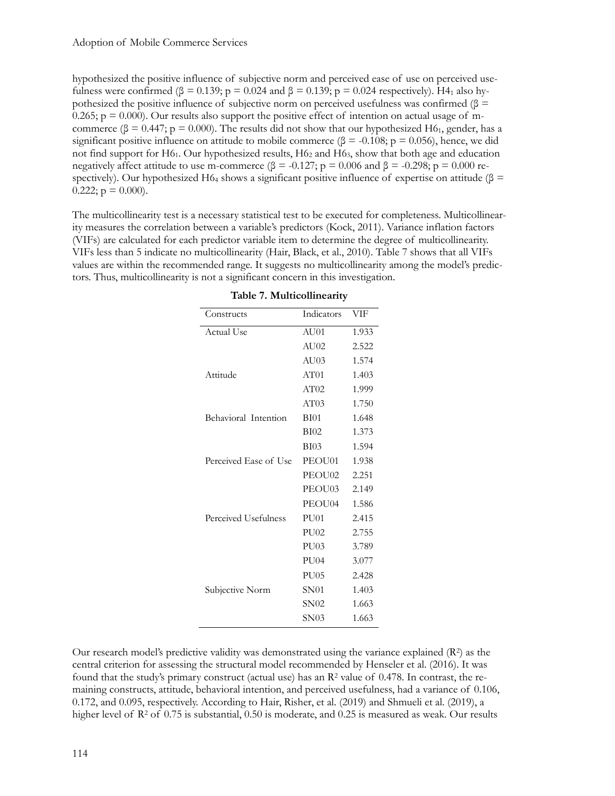hypothesized the positive influence of subjective norm and perceived ease of use on perceived usefulness were confirmed ( $\beta = 0.139$ ;  $p = 0.024$  and  $\beta = 0.139$ ;  $p = 0.024$  respectively). H4<sub>1</sub> also hypothesized the positive influence of subjective norm on perceived usefulness was confirmed (β = 0.265;  $p = 0.000$ ). Our results also support the positive effect of intention on actual usage of mcommerce ( $\beta = 0.447$ ;  $p = 0.000$ ). The results did not show that our hypothesized H6<sub>1</sub>, gender, has a significant positive influence on attitude to mobile commerce ( $\beta$  = -0.108; p = 0.056), hence, we did not find support for  $H_0$ . Our hypothesized results,  $H_0$  and  $H_0$ , show that both age and education negatively affect attitude to use m-commerce (β = -0.127; p = 0.006 and β = -0.298; p = 0.000 respectively). Our hypothesized H6<sub>4</sub> shows a significant positive influence of expertise on attitude ( $\beta$  =  $0.222$ ;  $p = 0.000$ ).

The multicollinearity test is a necessary statistical test to be executed for completeness. Multicollinearity measures the correlation between a variable's predictors (Kock, 2011). Variance inflation factors (VIFs) are calculated for each predictor variable item to determine the degree of multicollinearity. VIFs less than 5 indicate no multicollinearity (Hair, Black, et al., 2010). Table 7 shows that all VIFs values are within the recommended range. It suggests no multicollinearity among the model's predictors. Thus, multicollinearity is not a significant concern in this investigation.

| Constructs            | Indicators       | VIF   |
|-----------------------|------------------|-------|
| Actual Use            | AU01             | 1.933 |
|                       | AU02             | 2.522 |
|                       | AU03             | 1.574 |
| Attitude              | AT01             | 1.403 |
|                       | AT02             | 1.999 |
|                       | AT03             | 1.750 |
| Behavioral Intention  | <b>BI01</b>      | 1.648 |
|                       | <b>BI02</b>      | 1.373 |
|                       | <b>BI03</b>      | 1.594 |
| Perceived Ease of Use | PEOU01           | 1.938 |
|                       | PEOU02           | 2.251 |
|                       | PEOU03           | 2.149 |
|                       | PEOU04           | 1.586 |
| Perceived Usefulness  | PU <sub>01</sub> | 2.415 |
|                       | PU02             | 2.755 |
|                       | PU03             | 3.789 |
|                       | <b>PU04</b>      | 3.077 |
|                       | PU05             | 2.428 |
| Subjective Norm       | <b>SN01</b>      | 1.403 |
|                       | SN02             | 1.663 |
|                       | SN03             | 1.663 |

**Table 7. Multicollinearity**

Our research model's predictive validity was demonstrated using the variance explained  $(R^2)$  as the central criterion for assessing the structural model recommended by Henseler et al. (2016). It was found that the study's primary construct (actual use) has an  $\mathbb{R}^2$  value of 0.478. In contrast, the remaining constructs, attitude, behavioral intention, and perceived usefulness, had a variance of 0.106, 0.172, and 0.095, respectively. According to Hair, Risher, et al. (2019) and Shmueli et al. (2019), a higher level of R<sup>2</sup> of 0.75 is substantial, 0.50 is moderate, and 0.25 is measured as weak. Our results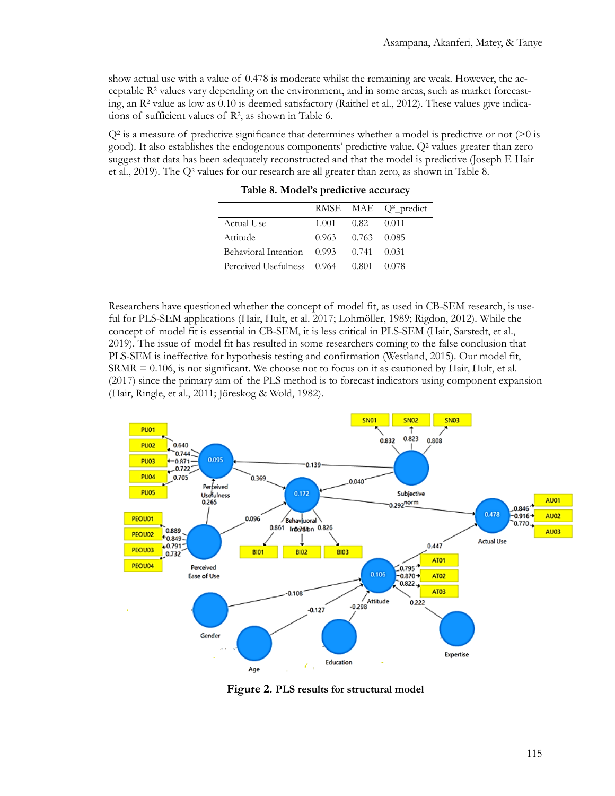show actual use with a value of 0.478 is moderate whilst the remaining are weak. However, the acceptable  $R<sup>2</sup>$  values vary depending on the environment, and in some areas, such as market forecasting, an  $\mathbb{R}^2$  value as low as 0.10 is deemed satisfactory (Raithel et al., 2012). These values give indications of sufficient values of R2, as shown in Table 6.

 $Q^2$  is a measure of predictive significance that determines whether a model is predictive or not ( $>0$  is good). It also establishes the endogenous components' predictive value. Q2 values greater than zero suggest that data has been adequately reconstructed and that the model is predictive (Joseph F. Hair et al., 2019). The Q2 values for our research are all greater than zero, as shown in Table 8.

|                                              |                   |                  | RMSE MAE Q <sup>2</sup> _predict |
|----------------------------------------------|-------------------|------------------|----------------------------------|
| Actual Use                                   |                   | 1.001 0.82 0.011 |                                  |
| Attitude                                     | 0.963 0.763 0.085 |                  |                                  |
| Behavioral Intention $0.993$ $0.741$ $0.031$ |                   |                  |                                  |
| Perceived Usefulness 0.964                   |                   | 0.801            | - 0.078                          |

**Table 8. Model's predictive accuracy**

Researchers have questioned whether the concept of model fit, as used in CB-SEM research, is useful for PLS-SEM applications (Hair, Hult, et al. 2017; Lohmöller, 1989; Rigdon, 2012). While the concept of model fit is essential in CB-SEM, it is less critical in PLS-SEM (Hair, Sarstedt, et al., 2019). The issue of model fit has resulted in some researchers coming to the false conclusion that PLS-SEM is ineffective for hypothesis testing and confirmation (Westland, 2015). Our model fit, SRMR = 0.106, is not significant. We choose not to focus on it as cautioned by Hair, Hult, et al. (2017) since the primary aim of the PLS method is to forecast indicators using component expansion (Hair, Ringle, et al., 2011; Jöreskog & Wold, 1982).



**Figure 2. PLS results for structural model**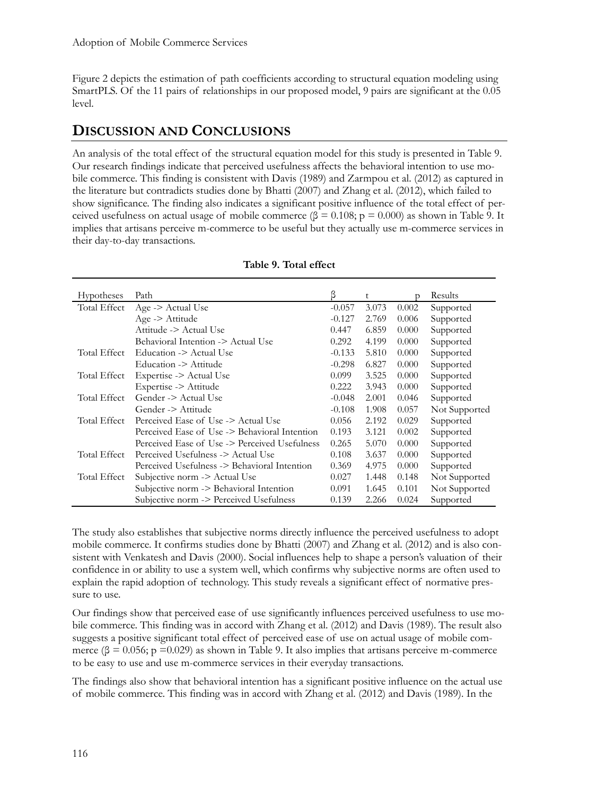Figure 2 depicts the estimation of path coefficients according to structural equation modeling using SmartPLS. Of the 11 pairs of relationships in our proposed model, 9 pairs are significant at the 0.05 level.

# **DISCUSSION AND CONCLUSIONS**

An analysis of the total effect of the structural equation model for this study is presented in Table 9. Our research findings indicate that perceived usefulness affects the behavioral intention to use mobile commerce. This finding is consistent with Davis (1989) and Zarmpou et al. (2012) as captured in the literature but contradicts studies done by Bhatti (2007) and Zhang et al. (2012), which failed to show significance. The finding also indicates a significant positive influence of the total effect of perceived usefulness on actual usage of mobile commerce (β = 0.108;  $p = 0.000$ ) as shown in Table 9. It implies that artisans perceive m-commerce to be useful but they actually use m-commerce services in their day-to-day transactions.

| <b>Hypotheses</b> | Path                                          | β        | t     | $\mathcal{D}$ | Results       |
|-------------------|-----------------------------------------------|----------|-------|---------------|---------------|
| Total Effect      | Age -> Actual Use                             | $-0.057$ | 3.073 | 0.002         | Supported     |
|                   | $Age \geq$ Attitude                           | $-0.127$ | 2.769 | 0.006         | Supported     |
|                   | Attitude -> Actual Use                        | 0.447    | 6.859 | 0.000         | Supported     |
|                   | Behavioral Intention -> Actual Use            | 0.292    | 4.199 | 0.000         | Supported     |
| Total Effect      | Education -> Actual Use                       | $-0.133$ | 5.810 | 0.000         | Supported     |
|                   | Education -> Attitude                         | $-0.298$ | 6.827 | 0.000         | Supported     |
| Total Effect      | Expertise -> Actual Use                       | 0.099    | 3.525 | 0.000         | Supported     |
|                   | Expertise -> Attitude                         | 0.222    | 3.943 | 0.000         | Supported     |
| Total Effect      | Gender -> Actual Use                          | $-0.048$ | 2.001 | 0.046         | Supported     |
|                   | Gender -> Attitude                            | $-0.108$ | 1.908 | 0.057         | Not Supported |
| Total Effect      | Perceived Ease of Use -> Actual Use           | 0.056    | 2.192 | 0.029         | Supported     |
|                   | Perceived Ease of Use -> Behavioral Intention | 0.193    | 3.121 | 0.002         | Supported     |
|                   | Perceived Ease of Use -> Perceived Usefulness | 0.265    | 5.070 | 0.000         | Supported     |
| Total Effect      | Perceived Usefulness -> Actual Use            | 0.108    | 3.637 | 0.000         | Supported     |
|                   | Perceived Usefulness -> Behavioral Intention  | 0.369    | 4.975 | 0.000         | Supported     |
| Total Effect      | Subjective norm -> Actual Use                 | 0.027    | 1.448 | 0.148         | Not Supported |
|                   | Subjective norm -> Behavioral Intention       | 0.091    | 1.645 | 0.101         | Not Supported |
|                   | Subjective norm -> Perceived Usefulness       | 0.139    | 2.266 | 0.024         | Supported     |

|  |  | Table 9. Total effect |
|--|--|-----------------------|
|--|--|-----------------------|

The study also establishes that subjective norms directly influence the perceived usefulness to adopt mobile commerce. It confirms studies done by Bhatti (2007) and Zhang et al. (2012) and is also consistent with Venkatesh and Davis (2000). Social influences help to shape a person's valuation of their confidence in or ability to use a system well, which confirms why subjective norms are often used to explain the rapid adoption of technology. This study reveals a significant effect of normative pressure to use.

Our findings show that perceived ease of use significantly influences perceived usefulness to use mobile commerce. This finding was in accord with Zhang et al. (2012) and Davis (1989). The result also suggests a positive significant total effect of perceived ease of use on actual usage of mobile commerce ( $\beta$  = 0.056; p = 0.029) as shown in Table 9. It also implies that artisans perceive m-commerce to be easy to use and use m-commerce services in their everyday transactions.

The findings also show that behavioral intention has a significant positive influence on the actual use of mobile commerce. This finding was in accord with Zhang et al. (2012) and Davis (1989). In the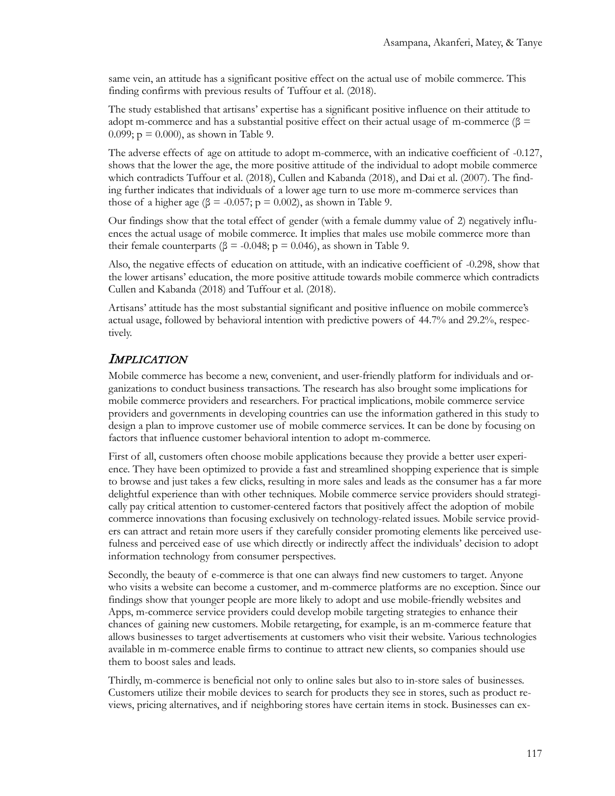same vein, an attitude has a significant positive effect on the actual use of mobile commerce. This finding confirms with previous results of Tuffour et al. (2018).

The study established that artisans' expertise has a significant positive influence on their attitude to adopt m-commerce and has a substantial positive effect on their actual usage of m-commerce ( $\beta$  = 0.099;  $p = 0.000$ , as shown in Table 9.

The adverse effects of age on attitude to adopt m-commerce, with an indicative coefficient of -0.127, shows that the lower the age, the more positive attitude of the individual to adopt mobile commerce which contradicts Tuffour et al. (2018), Cullen and Kabanda (2018), and Dai et al. (2007). The finding further indicates that individuals of a lower age turn to use more m-commerce services than those of a higher age ( $\beta$  = -0.057; p = 0.002), as shown in Table 9.

Our findings show that the total effect of gender (with a female dummy value of 2) negatively influences the actual usage of mobile commerce. It implies that males use mobile commerce more than their female counterparts ( $\beta$  = -0.048; p = 0.046), as shown in Table 9.

Also, the negative effects of education on attitude, with an indicative coefficient of -0.298, show that the lower artisans' education, the more positive attitude towards mobile commerce which contradicts Cullen and Kabanda (2018) and Tuffour et al. (2018).

Artisans' attitude has the most substantial significant and positive influence on mobile commerce's actual usage, followed by behavioral intention with predictive powers of 44.7% and 29.2%, respectively.

### **IMPLICATION**

Mobile commerce has become a new, convenient, and user-friendly platform for individuals and organizations to conduct business transactions. The research has also brought some implications for mobile commerce providers and researchers. For practical implications, mobile commerce service providers and governments in developing countries can use the information gathered in this study to design a plan to improve customer use of mobile commerce services. It can be done by focusing on factors that influence customer behavioral intention to adopt m-commerce.

First of all, customers often choose mobile applications because they provide a better user experience. They have been optimized to provide a fast and streamlined shopping experience that is simple to browse and just takes a few clicks, resulting in more sales and leads as the consumer has a far more delightful experience than with other techniques. Mobile commerce service providers should strategically pay critical attention to customer-centered factors that positively affect the adoption of mobile commerce innovations than focusing exclusively on technology-related issues. Mobile service providers can attract and retain more users if they carefully consider promoting elements like perceived usefulness and perceived ease of use which directly or indirectly affect the individuals' decision to adopt information technology from consumer perspectives.

Secondly, the beauty of e-commerce is that one can always find new customers to target. Anyone who visits a website can become a customer, and m-commerce platforms are no exception. Since our findings show that younger people are more likely to adopt and use mobile-friendly websites and Apps, m-commerce service providers could develop mobile targeting strategies to enhance their chances of gaining new customers. Mobile retargeting, for example, is an m-commerce feature that allows businesses to target advertisements at customers who visit their website. Various technologies available in m-commerce enable firms to continue to attract new clients, so companies should use them to boost sales and leads.

Thirdly, m-commerce is beneficial not only to online sales but also to in-store sales of businesses. Customers utilize their mobile devices to search for products they see in stores, such as product reviews, pricing alternatives, and if neighboring stores have certain items in stock. Businesses can ex-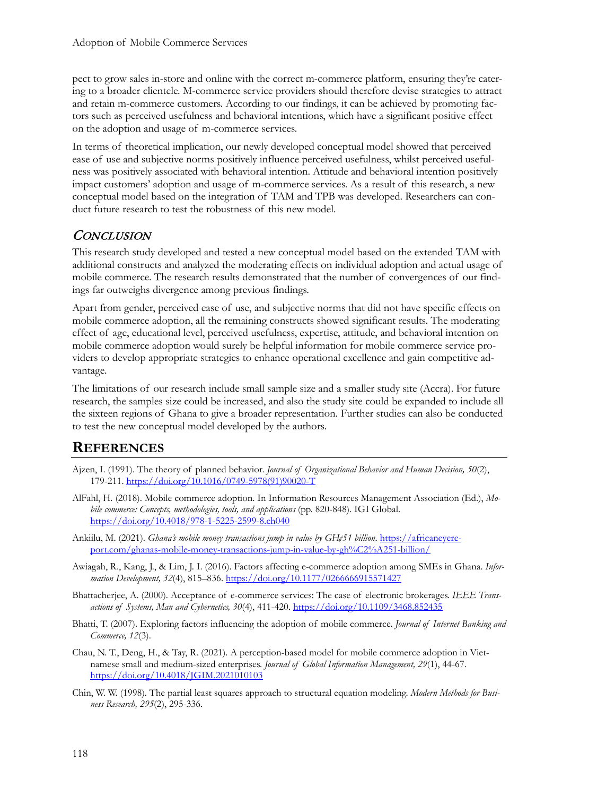pect to grow sales in-store and online with the correct m-commerce platform, ensuring they're catering to a broader clientele. M-commerce service providers should therefore devise strategies to attract and retain m-commerce customers. According to our findings, it can be achieved by promoting factors such as perceived usefulness and behavioral intentions, which have a significant positive effect on the adoption and usage of m-commerce services.

In terms of theoretical implication, our newly developed conceptual model showed that perceived ease of use and subjective norms positively influence perceived usefulness, whilst perceived usefulness was positively associated with behavioral intention. Attitude and behavioral intention positively impact customers' adoption and usage of m-commerce services. As a result of this research, a new conceptual model based on the integration of TAM and TPB was developed. Researchers can conduct future research to test the robustness of this new model.

## CONCLUSION

This research study developed and tested a new conceptual model based on the extended TAM with additional constructs and analyzed the moderating effects on individual adoption and actual usage of mobile commerce. The research results demonstrated that the number of convergences of our findings far outweighs divergence among previous findings.

Apart from gender, perceived ease of use, and subjective norms that did not have specific effects on mobile commerce adoption, all the remaining constructs showed significant results. The moderating effect of age, educational level, perceived usefulness, expertise, attitude, and behavioral intention on mobile commerce adoption would surely be helpful information for mobile commerce service providers to develop appropriate strategies to enhance operational excellence and gain competitive advantage.

The limitations of our research include small sample size and a smaller study site (Accra). For future research, the samples size could be increased, and also the study site could be expanded to include all the sixteen regions of Ghana to give a broader representation. Further studies can also be conducted to test the new conceptual model developed by the authors.

# **REFERENCES**

- Ajzen, I. (1991). The theory of planned behavior. *Journal of Organizational Behavior and Human Decision, 50*(2), 179-211. [https://doi.org/10.1016/0749](https://doi.org/10.1016/0749-5978(91)90020-T)-5978(91)90020-T
- AlFahl, H. (2018). Mobile commerce adoption. In Information Resources Management Association (Ed.), *Mobile commerce: Concepts, methodologies, tools, and applications* (pp. 820-848). IGI Global. [https://doi.org/10.4018/978](https://doi.org/10.4018/978-1-5225-2599-8.ch040)-1-5225-2599-8.ch040
- Ankiilu, M. (2021). *Ghana's mobile money transactions jump in value by GH¢51 billion*. [https://africaneyere](https://africaneyereport.com/ghanas-mobile-money-transactions-jump-in-value-by-gh%C2%A251-billion/)[port.com/ghanas](https://africaneyereport.com/ghanas-mobile-money-transactions-jump-in-value-by-gh%C2%A251-billion/)-mobile-money-transactions-jump-in-value-by-gh%C2%A251-billion/
- Awiagah, R., Kang, J., & Lim, J. I. (2016). Factors affecting e-commerce adoption among SMEs in Ghana. *Information Development, 32*(4), 815–836.<https://doi.org/10.1177/0266666915571427>
- Bhattacherjee, A. (2000). Acceptance of e-commerce services: The case of electronic brokerages. *IEEE Transactions of Systems, Man and Cybernetics, 30*(4), 411-420.<https://doi.org/10.1109/3468.852435>
- Bhatti, T. (2007). Exploring factors influencing the adoption of mobile commerce. *Journal of Internet Banking and Commerce, 12*(3).
- Chau, N. T., Deng, H., & Tay, R. (2021). A perception-based model for mobile commerce adoption in Vietnamese small and medium-sized enterprises. *Journal of Global Information Management, 29*(1), 44-67. <https://doi.org/10.4018/JGIM.2021010103>
- Chin, W. W. (1998). The partial least squares approach to structural equation modeling. *Modern Methods for Business Research, 295*(2), 295-336.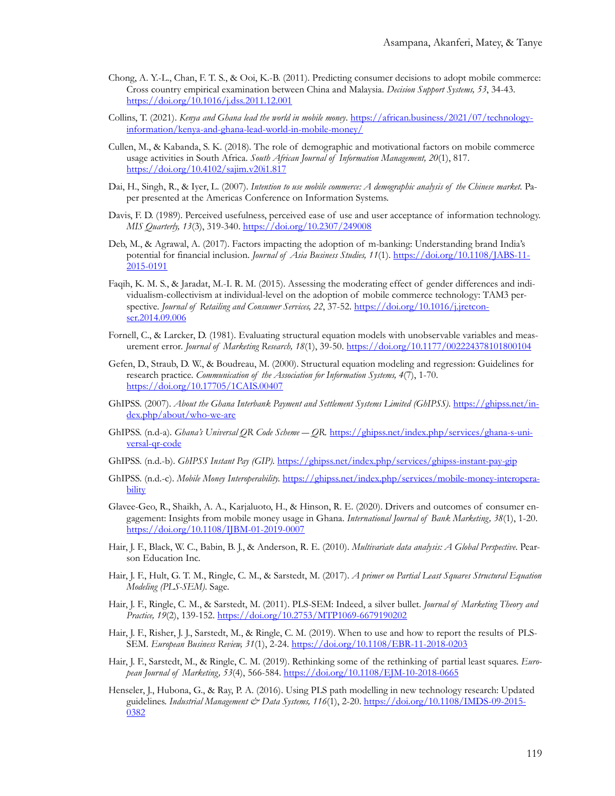- Chong, A. Y.-L., Chan, F. T. S., & Ooi, K.-B. (2011). Predicting consumer decisions to adopt mobile commerce: Cross country empirical examination between China and Malaysia. *Decision Support Systems, 53*, 34-43. <https://doi.org/10.1016/j.dss.2011.12.001>
- Collins, T. (2021). *Kenya and Ghana lead the world in mobile money*. [https://african.business/2021/07/technology](https://african.business/2021/07/technology-information/kenya-and-ghana-lead-world-in-mobile-money/)information/kenya[-and-ghana-lead-world-in-](https://african.business/2021/07/technology-information/kenya-and-ghana-lead-world-in-mobile-money/)mobile-money/
- Cullen, M., & Kabanda, S. K. (2018). The role of demographic and motivational factors on mobile commerce usage activities in South Africa. *South African Journal of Information Management, 20*(1), 817. <https://doi.org/10.4102/sajim.v20i1.817>
- Dai, H., Singh, R., & Iyer, L. (2007). *Intention to use mobile commerce: A demographic analysis of the Chinese market.* Paper presented at the Americas Conference on Information Systems.
- Davis, F. D. (1989). Perceived usefulness, perceived ease of use and user acceptance of information technology. *MIS Quarterly, 13*(3), 319-340. <https://doi.org/10.2307/249008>
- Deb, M., & Agrawal, A. (2017). Factors impacting the adoption of m-banking: Understanding brand India's potential for financial inclusion. *Journal of Asia Business Studies, 11*(1). [https://doi.org/10.1108/JABS](https://doi.org/10.1108/JABS-11-2015-0191)-11- [2015](https://doi.org/10.1108/JABS-11-2015-0191)-0191
- Faqih, K. M. S., & Jaradat, M.-I. R. M. (2015). Assessing the moderating effect of gender differences and individualism-collectivism at individual-level on the adoption of mobile commerce technology: TAM3 perspective. *Journal of Retailing and Consumer Services, 22*, 37-52. [https://doi.org/10.1016/j.jretcon](https://doi.org/10.1016/j.jretconser.2014.09.006)[ser.2014.09.006](https://doi.org/10.1016/j.jretconser.2014.09.006)
- Fornell, C., & Larcker, D. (1981). Evaluating structural equation models with unobservable variables and measurement error. *Journal of Marketing Research, 18*(1), 39-50.<https://doi.org/10.1177/002224378101800104>
- Gefen, D., Straub, D. W., & Boudreau, M. (2000). Structural equation modeling and regression: Guidelines for research practice. *Communication of the Association for Information Systems, 4*(7), 1-70. <https://doi.org/10.17705/1CAIS.00407>
- GhIPSS. (2007). *About the Ghana Interbank Payment and Settlement Systems Limited (GhIPSS)*. [https://ghipss.net/in](https://ghipss.net/index.php/about/who-we-are)[dex.php/about/who](https://ghipss.net/index.php/about/who-we-are)-we-are
- GhIPSS. (n.d-a). *Ghana's Universal QR Code Scheme ― QR.* [https://ghipss.net/index.php/services/ghana](https://ghipss.net/index.php/services/ghana-s-universal-qr-code)-s-uni[versal](https://ghipss.net/index.php/services/ghana-s-universal-qr-code)-qr-code
- GhIPSS. (n.d.-b). *GhIPSS Instant Pay (GIP).* [https://ghipss.net/index.php/services/ghipss](https://ghipss.net/index.php/services/ghipss-instant-pay-gip)-instant-pay-gip
- GhIPSS. (n.d.-c). *Mobile Money Interoperability.* [https://ghipss.net/index.php/services/mobile](https://ghipss.net/index.php/services/mobile-money-interoperability)-money-interopera[bility](https://ghipss.net/index.php/services/mobile-money-interoperability)
- Glavee-Geo, R., Shaikh, A. A., Karjaluoto, H., & Hinson, R. E. (2020). Drivers and outcomes of consumer engagement: Insights from mobile money usage in Ghana. *International Journal of Bank Marketing, 38*(1), 1-20. [https://doi.org/10.1108/IJBM](https://doi.org/10.1108/IJBM-01-2019-0007)-01-2019-0007
- Hair, J. F., Black, W. C., Babin, B. J., & Anderson, R. E. (2010). *Multivariate data analysis: A Global Perspective*. Pearson Education Inc.
- Hair, J. F., Hult, G. T. M., Ringle, C. M., & Sarstedt, M. (2017). *A primer on Partial Least Squares Structural Equation Modeling (PLS-SEM)*. Sage.
- Hair, J. F., Ringle, C. M., & Sarstedt, M. (2011). PLS-SEM: Indeed, a silver bullet. *Journal of Marketing Theory and Practice, 19*(2), 139-152. [https://doi.org/10.2753/MTP1069](https://doi.org/10.2753/MTP1069-6679190202)-6679190202
- Hair, J. F., Risher, J. J., Sarstedt, M., & Ringle, C. M. (2019). When to use and how to report the results of PLS-SEM. *European Business Review, 31*(1), 2-24. [https://doi.org/10.1108/EBR](https://doi.org/10.1108/EBR-11-2018-0203)-11-2018-0203
- Hair, J. F., Sarstedt, M., & Ringle, C. M. (2019). Rethinking some of the rethinking of partial least squares. *European Journal of Marketing, 53*(4), 566-584. [https://doi.org/10.1108/EJM](https://doi.org/10.1108/EJM-10-2018-0665)-10-2018-0665
- Henseler, J., Hubona, G., & Ray, P. A. (2016). Using PLS path modelling in new technology research: Updated guidelines. *Industrial Management & Data Systems, 116*(1), 2-20. [https://doi.org/10.1108/IMDS](https://doi.org/10.1108/IMDS-09-2015-0382)-09-2015- [0382](https://doi.org/10.1108/IMDS-09-2015-0382)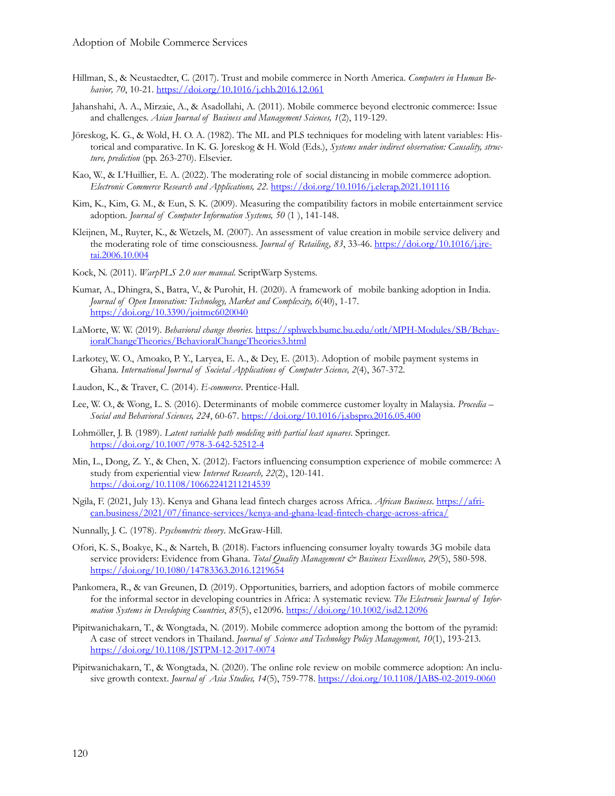- Hillman, S., & Neustaedter, C. (2017). Trust and mobile commerce in North America. *Computers in Human Behavior, 70*, 10-21.<https://doi.org/10.1016/j.chb.2016.12.061>
- Jahanshahi, A. A., Mirzaie, A., & Asadollahi, A. (2011). Mobile commerce beyond electronic commerce: Issue and challenges. *Asian Journal of Business and Management Sciences, 1*(2), 119-129.
- Jöreskog, K. G., & Wold, H. O. A. (1982). The ML and PLS techniques for modeling with latent variables: Historical and comparative. In K. G. Joreskog & H. Wold (Eds.), *Systems under indirect observation: Causality, structure, prediction* (pp. 263-270). Elsevier.
- Kao, W., & L'Huillier, E. A. (2022). The moderating role of social distancing in mobile commerce adoption. *Electronic Commerce Research and Applications, 22.* <https://doi.org/10.1016/j.elerap.2021.101116>
- Kim, K., Kim, G. M., & Eun, S. K. (2009). Measuring the compatibility factors in mobile entertainment service adoption. *Journal of Computer Information Systems, 50* (1 ), 141-148.
- Kleijnen, M., Ruyter, K., & Wetzels, M. (2007). An assessment of value creation in mobile service delivery and the moderating role of time consciousness. *Journal of Retailing, 83*, 33-46. [https://doi.org/10.1016/j.jre](https://doi.org/10.1016/j.jretai.2006.10.004)[tai.2006.10.004](https://doi.org/10.1016/j.jretai.2006.10.004)
- Kock, N. (2011). *WarpPLS 2.0 user manual*. ScriptWarp Systems.
- Kumar, A., Dhingra, S., Batra, V., & Purohit, H. (2020). A framework of mobile banking adoption in India. *Journal of Open Innovation: Technology, Market and Complexity, 6*(40), 1-17. <https://doi.org/10.3390/joitmc6020040>
- LaMorte, W. W. (2019). *Behavioral change theories*. [https://sphweb.bumc.bu.edu/otlt/MPH](https://sphweb.bumc.bu.edu/otlt/MPH-Modules/SB/BehavioralChangeTheories/BehavioralChangeTheories3.html)-Modules/SB/Behav[ioralChangeTheories/BehavioralChangeTheories3.html](https://sphweb.bumc.bu.edu/otlt/MPH-Modules/SB/BehavioralChangeTheories/BehavioralChangeTheories3.html)
- Larkotey, W. O., Amoako, P. Y., Laryea, E. A., & Dey, E. (2013). Adoption of mobile payment systems in Ghana. *International Journal of Societal Applications of Computer Science, 2*(4), 367-372.
- Laudon, K., & Traver, C. (2014). *E-commerce*. Prentice-Hall.
- Lee, W. O., & Wong, L. S. (2016). Determinants of mobile commerce customer loyalty in Malaysia. *Procedia – Social and Behavioral Sciences, 224*, 60-67[. https://doi.org/10.1016/j.sbspro.2016.05.400](https://doi.org/10.1016/j.sbspro.2016.05.400)
- Lohmöller, J. B. (1989). *Latent variable path modeling with partial least squares*. Springer. [https://doi.org/10.1007/978](https://doi.org/10.1007/978-3-642-52512-4)-3-642-52512-4
- Min, L., Dong, Z. Y., & Chen, X. (2012). Factors influencing consumption experience of mobile commerce: A study from experiential view *Internet Research, 22*(2), 120-141. <https://doi.org/10.1108/10662241211214539>
- Ngila, F. (2021, July 13). Kenya and Ghana lead fintech charges across Africa. *African Business*[. https://afri](https://african.business/2021/07/finance-services/kenya-and-ghana-lead-fintech-charge-across-africa/)[can.business/2021/07/finance](https://african.business/2021/07/finance-services/kenya-and-ghana-lead-fintech-charge-across-africa/)-services/kenya-and-ghana-lead-fintech-charge-across-africa/
- Nunnally, J. C. (1978). *Psychometric theory*. McGraw-Hill.
- Ofori, K. S., Boakye, K., & Narteh, B. (2018). Factors influencing consumer loyalty towards 3G mobile data service providers: Evidence from Ghana. *Total Quality Management & Business Excellence*, 29(5), 580-598. <https://doi.org/10.1080/14783363.2016.1219654>
- Pankomera, R., & van Greunen, D. (2019). Opportunities, barriers, and adoption factors of mobile commerce for the informal sector in developing countries in Africa: A systematic review. *The Electronic Journal of Information Systems in Developing Countries*, *85*(5), e12096.<https://doi.org/10.1002/isd2.12096>
- Pipitwanichakarn, T., & Wongtada, N. (2019). Mobile commerce adoption among the bottom of the pyramid: A case of street vendors in Thailand. *Journal of Science and Technology Policy Management, 10*(1), 193-213. [https://doi.org/10.1108/JSTPM](https://doi.org/10.1108/JSTPM-12-2017-0074)-12-2017-0074
- Pipitwanichakarn, T., & Wongtada, N. (2020). The online role review on mobile commerce adoption: An inclusive growth context. *Journal of Asia Studies, 14*(5), 759-778[. https://doi.org/10.1108/JABS](https://doi.org/10.1108/JABS-02-2019-0060)-02-2019-0060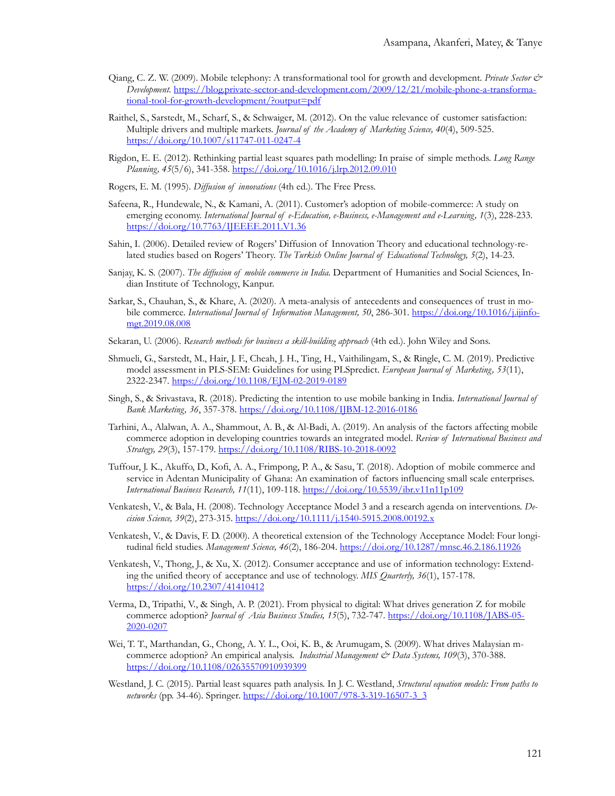- Qiang, C. Z. W. (2009). Mobile telephony: A transformational tool for growth and development. *Private Sector & Development.* https://blog.private-sector-and-[development.com/2009/12/21/mobile](https://blog.private-sector-and-development.com/2009/12/21/mobile-phone-a-transformational-tool-for-growth-development/?output=pdf)-phone-a-transformational-tool-for-growth-[development/?output=pdf](https://blog.private-sector-and-development.com/2009/12/21/mobile-phone-a-transformational-tool-for-growth-development/?output=pdf)
- Raithel, S., Sarstedt, M., Scharf, S., & Schwaiger, M. (2012). On the value relevance of customer satisfaction: Multiple drivers and multiple markets. *Journal of the Academy of Marketing Science, 40*(4), 509-525. [https://doi.org/10.1007/s11747](https://doi.org/10.1007/s11747-011-0247-4)-011-0247-4
- Rigdon, E. E. (2012). Rethinking partial least squares path modelling: In praise of simple methods. *Long Range Planning, 45*(5/6), 341-358.<https://doi.org/10.1016/j.lrp.2012.09.010>
- Rogers, E. M. (1995). *Diffusion of innovations* (4th ed.). The Free Press.
- Safeena, R., Hundewale, N., & Kamani, A. (2011). Customer's adoption of mobile-commerce: A study on emerging economy. *International Journal of e-Education, e-Business, e-Management and e-Learning, 1*(3), 228-233. <https://doi.org/10.7763/IJEEEE.2011.V1.36>
- Sahin, I. (2006). Detailed review of Rogers' Diffusion of Innovation Theory and educational technology-related studies based on Rogers' Theory. *The Turkish Online Journal of Educational Technology, 5*(2), 14-23.
- Sanjay, K. S. (2007). *The diffusion of mobile commerce in India.* Department of Humanities and Social Sciences, Indian Institute of Technology, Kanpur.
- Sarkar, S., Chauhan, S., & Khare, A. (2020). A meta-analysis of antecedents and consequences of trust in mobile commerce. *International Journal of Information Management, 50*, 286-301. [https://doi.org/10.1016/j.ijinfo](https://doi.org/10.1016/j.ijinfomgt.2019.08.008)[mgt.2019.08.008](https://doi.org/10.1016/j.ijinfomgt.2019.08.008)
- Sekaran, U. (2006). *Research methods for business a skill-building approach* (4th ed.). John Wiley and Sons.
- Shmueli, G., Sarstedt, M., Hair, J. F., Cheah, J. H., Ting, H., Vaithilingam, S., & Ringle, C. M. (2019). Predictive model assessment in PLS-SEM: Guidelines for using PLSpredict. *European Journal of Marketing, 53*(11), 2322-2347. [https://doi.org/10.1108/EJM](https://doi.org/10.1108/EJM-02-2019-0189)-02-2019-0189
- Singh, S., & Srivastava, R. (2018). Predicting the intention to use mobile banking in India. *International Journal of Bank Marketing, 36*, 357-378. [https://doi.org/10.1108/IJBM](https://doi.org/10.1108/IJBM-12-2016-0186)-12-2016-0186
- Tarhini, A., Alalwan, A. A., Shammout, A. B., & Al-Badi, A. (2019). An analysis of the factors affecting mobile commerce adoption in developing countries towards an integrated model. *Review of International Business and Strategy, 29*(3), 157-179[. https://doi.org/10.1108/RIBS](https://doi.org/10.1108/RIBS-10-2018-0092)-10-2018-0092
- Tuffour, J. K., Akuffo, D., Kofi, A. A., Frimpong, P. A., & Sasu, T. (2018). Adoption of mobile commerce and service in Adentan Municipality of Ghana: An examination of factors influencing small scale enterprises. *International Business Research, 11*(11), 109-118.<https://doi.org/10.5539/ibr.v11n11p109>
- Venkatesh, V., & Bala, H. (2008). Technology Acceptance Model 3 and a research agenda on interventions. *Decision Science, 39*(2), 273-315. [https://doi.org/10.1111/j.1540](https://doi.org/10.1111/j.1540-5915.2008.00192.x)-5915.2008.00192.x
- Venkatesh, V., & Davis, F. D. (2000). A theoretical extension of the Technology Acceptance Model: Four longitudinal field studies. *Management Science, 46*(2), 186-204. <https://doi.org/10.1287/mnsc.46.2.186.11926>
- Venkatesh, V., Thong, J., & Xu, X. (2012). Consumer acceptance and use of information technology: Extending the unified theory of acceptance and use of technology. *MIS Quarterly, 36*(1), 157-178. <https://doi.org/10.2307/41410412>
- Verma, D., Tripathi, V., & Singh, A. P. (2021). From physical to digital: What drives generation Z for mobile commerce adoption? *Journal of Asia Business Studies, 15*(5), 732-747. [https://doi.org/10.1108/JABS](https://doi.org/10.1108/JABS-05-2020-0207)-05- [2020](https://doi.org/10.1108/JABS-05-2020-0207)-0207
- Wei, T. T., Marthandan, G., Chong, A. Y. L., Ooi, K. B., & Arumugam, S. (2009). What drives Malaysian mcommerce adoption? An empirical analysis. *Industrial Management & Data Systems, 109*(3), 370-388. <https://doi.org/10.1108/02635570910939399>
- Westland, J. C. (2015). Partial least squares path analysis. In J. C. Westland, *Structural equation models: From paths to networks* (pp. 34-46)*.* Springer. [https://doi.org/10.1007/978](https://doi.org/10.1007/978-3-319-16507-3_3)-3-319-16507-3\_3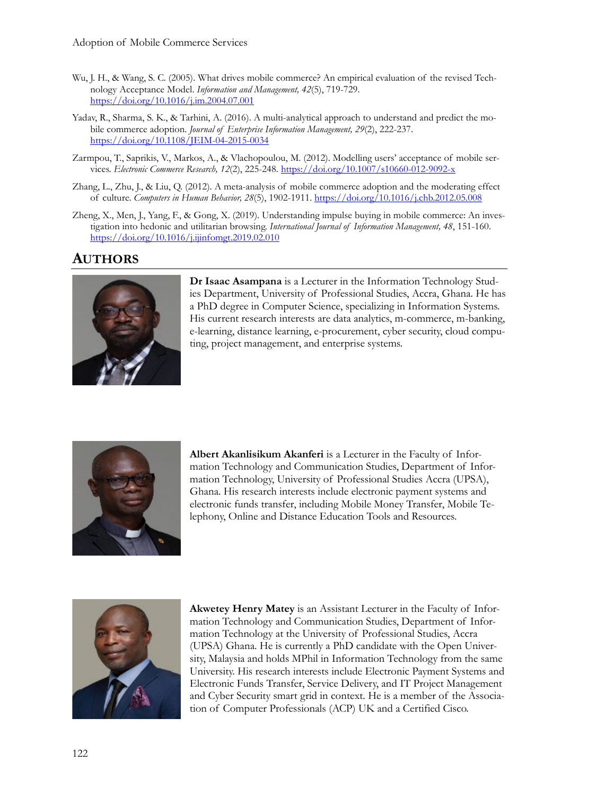- Wu, J. H., & Wang, S. C. (2005). What drives mobile commerce? An empirical evaluation of the revised Technology Acceptance Model. *Information and Management, 42*(5), 719-729. <https://doi.org/10.1016/j.im.2004.07.001>
- Yadav, R., Sharma, S. K., & Tarhini, A. (2016). A multi-analytical approach to understand and predict the mobile commerce adoption. *Journal of Enterprise Information Management, 29*(2), 222-237. [https://doi.org/10.1108/JEIM](https://doi.org/10.1108/JEIM-04-2015-0034)-04-2015-0034
- Zarmpou, T., Saprikis, V., Markos, A., & Vlachopoulou, M. (2012). Modelling users' acceptance of mobile services. *Electronic Commerce Research, 12*(2), 225-248. [https://doi.org/10.1007/s10660](https://doi.org/10.1007/s10660-012-9092-x)-012-9092-x
- Zhang, L., Zhu, J., & Liu, Q. (2012). A meta-analysis of mobile commerce adoption and the moderating effect of culture. *Computers in Human Behavior, 28*(5), 1902-1911. <https://doi.org/10.1016/j.chb.2012.05.008>
- Zheng, X., Men, J., Yang, F., & Gong, X. (2019). Understanding impulse buying in mobile commerce: An investigation into hedonic and utilitarian browsing. *International Journal of Information Management, 48*, 151-160. <https://doi.org/10.1016/j.ijinfomgt.2019.02.010>

# **AUTHORS**



**Dr Isaac Asampana** is a Lecturer in the Information Technology Studies Department, University of Professional Studies, Accra, Ghana. He has a PhD degree in Computer Science, specializing in Information Systems. His current research interests are data analytics, m-commerce, m-banking, e-learning, distance learning, e-procurement, cyber security, cloud computing, project management, and enterprise systems.



**Albert Akanlisikum Akanferi** is a Lecturer in the Faculty of Information Technology and Communication Studies, Department of Information Technology, University of Professional Studies Accra (UPSA), Ghana. His research interests include electronic payment systems and electronic funds transfer, including Mobile Money Transfer, Mobile Telephony, Online and Distance Education Tools and Resources.



**Akwetey Henry Matey** is an Assistant Lecturer in the Faculty of Information Technology and Communication Studies, Department of Information Technology at the University of Professional Studies, Accra (UPSA) Ghana. He is currently a PhD candidate with the Open University, Malaysia and holds MPhil in Information Technology from the same University. His research interests include Electronic Payment Systems and Electronic Funds Transfer, Service Delivery, and IT Project Management and Cyber Security smart grid in context. He is a member of the Association of Computer Professionals (ACP) UK and a Certified Cisco.